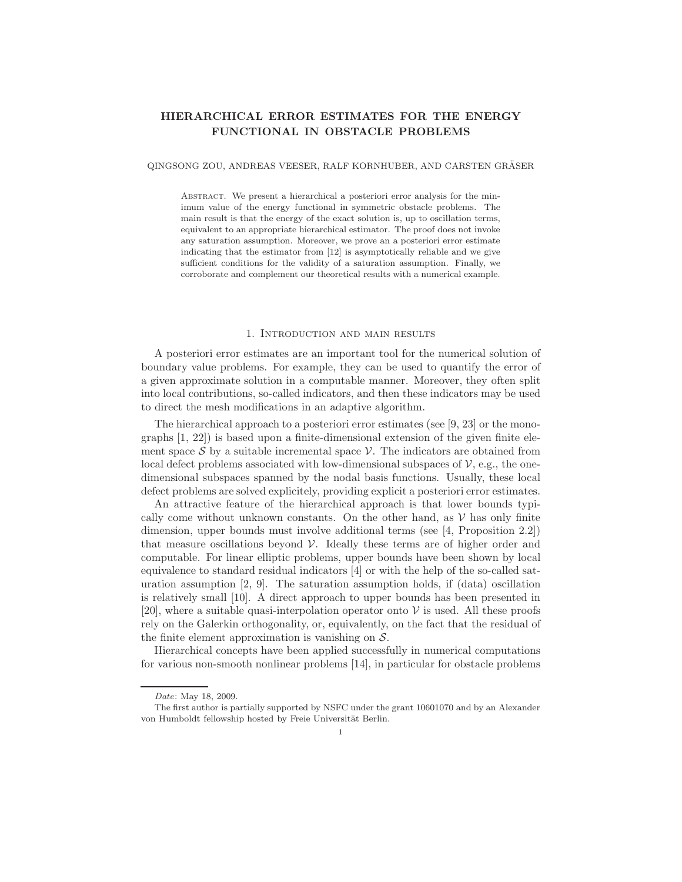# **HIERARCHICAL ERROR ESTIMATES FOR THE ENERGY FUNCTIONAL IN OBSTACLE PROBLEMS**

## QINGSONG ZOU, ANDREAS VEESER, RALF KORNHUBER, AND CARSTEN GRASER ¨

Abstract. We present a hierarchical a posteriori error analysis for the minimum value of the energy functional in symmetric obstacle problems. The main result is that the energy of the exact solution is, up to oscillation terms, equivalent to an appropriate hierarchical estimator. The proof does not invoke any saturation assumption. Moreover, we prove an a posteriori error estimate indicating that the estimator from [12] is asymptotically reliable and we give sufficient conditions for the validity of a saturation assumption. Finally, we corroborate and complement our theoretical results with a numerical example.

## 1. Introduction and main results

A posteriori error estimates are an important tool for the numerical solution of boundary value problems. For example, they can be used to quantify the error of a given approximate solution in a computable manner. Moreover, they often split into local contributions, so-called indicators, and then these indicators may be used to direct the mesh modifications in an adaptive algorithm.

The hierarchical approach to a posteriori error estimates (see [9, 23] or the monographs [1, 22]) is based upon a finite-dimensional extension of the given finite element space  $S$  by a suitable incremental space  $V$ . The indicators are obtained from local defect problems associated with low-dimensional subspaces of  $\mathcal{V}$ , e.g., the onedimensional subspaces spanned by the nodal basis functions. Usually, these local defect problems are solved explicitely, providing explicit a posteriori error estimates.

An attractive feature of the hierarchical approach is that lower bounds typically come without unknown constants. On the other hand, as  $V$  has only finite dimension, upper bounds must involve additional terms (see [4, Proposition 2.2]) that measure oscillations beyond  $V$ . Ideally these terms are of higher order and computable. For linear elliptic problems, upper bounds have been shown by local equivalence to standard residual indicators [4] or with the help of the so-called saturation assumption [2, 9]. The saturation assumption holds, if (data) oscillation is relatively small [10]. A direct approach to upper bounds has been presented in [20], where a suitable quasi-interpolation operator onto  $\mathcal V$  is used. All these proofs rely on the Galerkin orthogonality, or, equivalently, on the fact that the residual of the finite element approximation is vanishing on  $S$ .

Hierarchical concepts have been applied successfully in numerical computations for various non-smooth nonlinear problems [14], in particular for obstacle problems

*Date*: May 18, 2009.

The first author is partially supported by NSFC under the grant 10601070 and by an Alexander von Humboldt fellowship hosted by Freie Universität Berlin.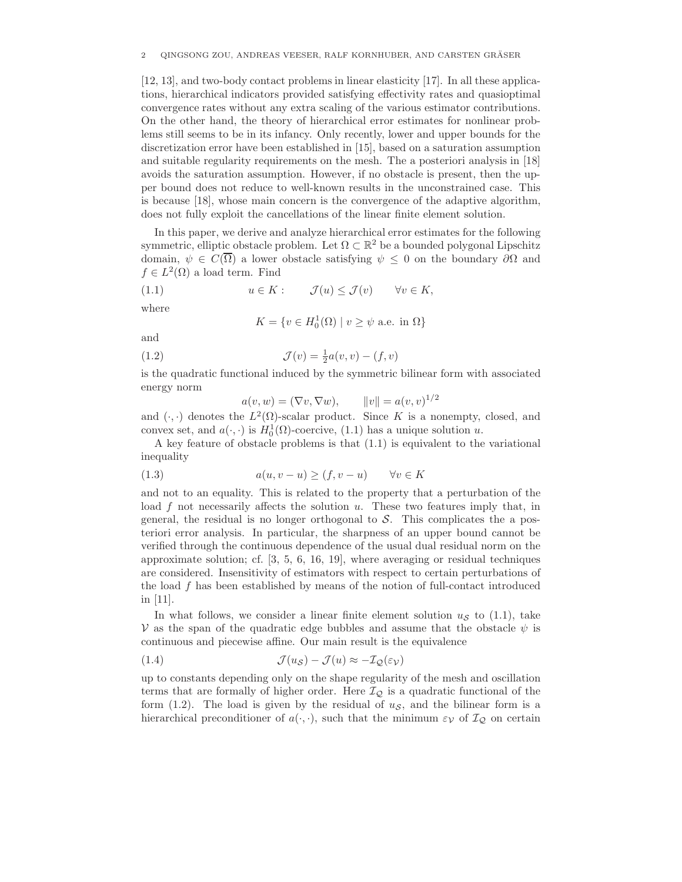[12, 13], and two-body contact problems in linear elasticity [17]. In all these applications, hierarchical indicators provided satisfying effectivity rates and quasioptimal convergence rates without any extra scaling of the various estimator contributions. On the other hand, the theory of hierarchical error estimates for nonlinear problems still seems to be in its infancy. Only recently, lower and upper bounds for the discretization error have been established in [15], based on a saturation assumption and suitable regularity requirements on the mesh. The a posteriori analysis in [18] avoids the saturation assumption. However, if no obstacle is present, then the upper bound does not reduce to well-known results in the unconstrained case. This is because [18], whose main concern is the convergence of the adaptive algorithm, does not fully exploit the cancellations of the linear finite element solution.

In this paper, we derive and analyze hierarchical error estimates for the following symmetric, elliptic obstacle problem. Let  $\Omega \subset \mathbb{R}^2$  be a bounded polygonal Lipschitz domain,  $\psi \in C(\overline{\Omega})$  a lower obstacle satisfying  $\psi \leq 0$  on the boundary  $\partial \Omega$  and  $f \in L^2(\Omega)$  a load term. Find

(1.1) 
$$
u \in K: \quad \mathcal{J}(u) \leq \mathcal{J}(v) \quad \forall v \in K,
$$

where

$$
K = \{ v \in H_0^1(\Omega) \mid v \ge \psi \text{ a.e. in } \Omega \}
$$

and

(1.2) 
$$
\mathcal{J}(v) = \frac{1}{2}a(v, v) - (f, v)
$$

is the quadratic functional induced by the symmetric bilinear form with associated energy norm

$$
a(v, w) = (\nabla v, \nabla w), \qquad ||v|| = a(v, v)^{1/2}
$$

and  $(\cdot, \cdot)$  denotes the  $L^2(\Omega)$ -scalar product. Since K is a nonempty, closed, and convex set, and  $a(\cdot, \cdot)$  is  $H_0^1(\Omega)$ -coercive, (1.1) has a unique solution u.

A key feature of obstacle problems is that (1.1) is equivalent to the variational inequality

(1.3) 
$$
a(u, v - u) \ge (f, v - u) \quad \forall v \in K
$$

and not to an equality. This is related to the property that a perturbation of the load  $f$  not necessarily affects the solution  $u$ . These two features imply that, in general, the residual is no longer orthogonal to  $S$ . This complicates the a posteriori error analysis. In particular, the sharpness of an upper bound cannot be verified through the continuous dependence of the usual dual residual norm on the approximate solution; cf. [3, 5, 6, 16, 19], where averaging or residual techniques are considered. Insensitivity of estimators with respect to certain perturbations of the load  $f$  has been established by means of the notion of full-contact introduced in [11].

In what follows, we consider a linear finite element solution  $u<sub>S</sub>$  to (1.1), take V as the span of the quadratic edge bubbles and assume that the obstacle  $\psi$  is continuous and piecewise affine. Our main result is the equivalence

(1.4) 
$$
\mathcal{J}(u_{\mathcal{S}}) - \mathcal{J}(u) \approx -\mathcal{I}_{\mathcal{Q}}(\varepsilon_{\mathcal{V}})
$$

up to constants depending only on the shape regularity of the mesh and oscillation terms that are formally of higher order. Here  $\mathcal{I}_{\mathcal{Q}}$  is a quadratic functional of the form (1.2). The load is given by the residual of  $u<sub>S</sub>$ , and the bilinear form is a hierarchical preconditioner of  $a(\cdot, \cdot)$ , such that the minimum  $\varepsilon_{\mathcal{V}}$  of  $\mathcal{I}_{\mathcal{Q}}$  on certain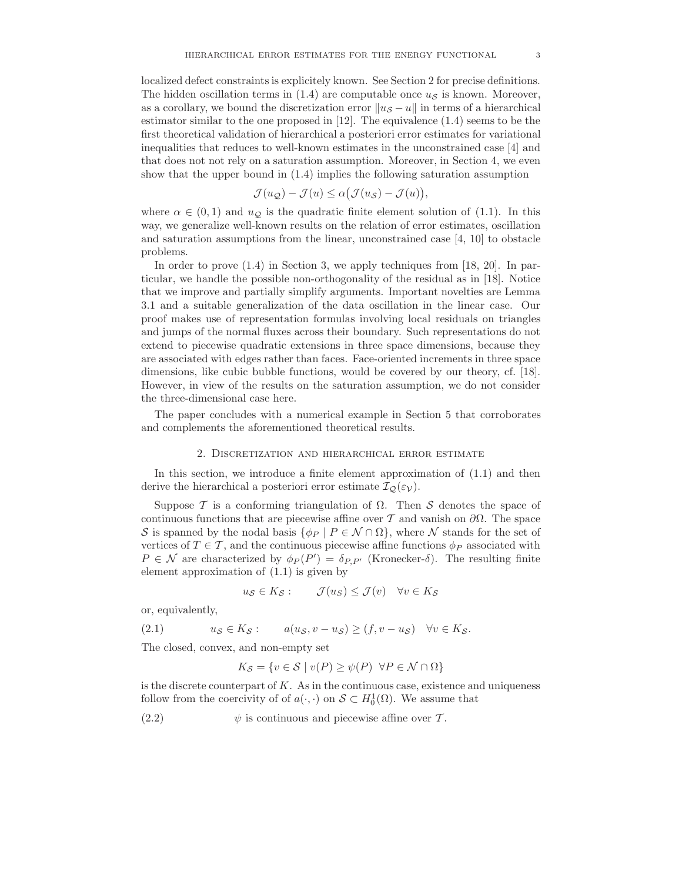localized defect constraints is explicitely known. See Section 2 for precise definitions. The hidden oscillation terms in (1.4) are computable once  $u<sub>S</sub>$  is known. Moreover, as a corollary, we bound the discretization error  $||u_{\mathcal{S}} - u||$  in terms of a hierarchical estimator similar to the one proposed in [12]. The equivalence (1.4) seems to be the first theoretical validation of hierarchical a posteriori error estimates for variational inequalities that reduces to well-known estimates in the unconstrained case [4] and that does not not rely on a saturation assumption. Moreover, in Section 4, we even show that the upper bound in (1.4) implies the following saturation assumption

$$
\mathcal{J}(u_{\mathcal{Q}}) - \mathcal{J}(u) \leq \alpha \big( \mathcal{J}(u_{\mathcal{S}}) - \mathcal{J}(u) \big),
$$

where  $\alpha \in (0,1)$  and  $u_{\mathcal{Q}}$  is the quadratic finite element solution of (1.1). In this way, we generalize well-known results on the relation of error estimates, oscillation and saturation assumptions from the linear, unconstrained case [4, 10] to obstacle problems.

In order to prove (1.4) in Section 3, we apply techniques from [18, 20]. In particular, we handle the possible non-orthogonality of the residual as in [18]. Notice that we improve and partially simplify arguments. Important novelties are Lemma 3.1 and a suitable generalization of the data oscillation in the linear case. Our proof makes use of representation formulas involving local residuals on triangles and jumps of the normal fluxes across their boundary. Such representations do not extend to piecewise quadratic extensions in three space dimensions, because they are associated with edges rather than faces. Face-oriented increments in three space dimensions, like cubic bubble functions, would be covered by our theory, cf. [18]. However, in view of the results on the saturation assumption, we do not consider the three-dimensional case here.

The paper concludes with a numerical example in Section 5 that corroborates and complements the aforementioned theoretical results.

### 2. Discretization and hierarchical error estimate

In this section, we introduce a finite element approximation of (1.1) and then derive the hierarchical a posteriori error estimate  $\mathcal{I}_{\mathcal{Q}}(\varepsilon_{\mathcal{V}})$ .

Suppose T is a conforming triangulation of  $\Omega$ . Then S denotes the space of continuous functions that are piecewise affine over T and vanish on  $\partial\Omega$ . The space S is spanned by the nodal basis  $\{\phi_P \mid P \in \mathcal{N} \cap \Omega\}$ , where N stands for the set of vertices of  $T \in \mathcal{T}$ , and the continuous piecewise affine functions  $\phi_P$  associated with  $P \in \mathcal{N}$  are characterized by  $\phi_P(P') = \delta_{P,P'}$  (Kronecker- $\delta$ ). The resulting finite element approximation of (1.1) is given by

$$
u_{\mathcal{S}} \in K_{\mathcal{S}}: \qquad \mathcal{J}(u_{\mathcal{S}}) \leq \mathcal{J}(v) \quad \forall v \in K_{\mathcal{S}}
$$

or, equivalently,

(2.1) 
$$
u_{\mathcal{S}} \in K_{\mathcal{S}}:
$$
  $a(u_{\mathcal{S}}, v - u_{\mathcal{S}}) \ge (f, v - u_{\mathcal{S}}) \quad \forall v \in K_{\mathcal{S}}.$ 

The closed, convex, and non-empty set

$$
K_{\mathcal{S}} = \{ v \in \mathcal{S} \mid v(P) \ge \psi(P) \ \forall P \in \mathcal{N} \cap \Omega \}
$$

is the discrete counterpart of  $K$ . As in the continuous case, existence and uniqueness follow from the coercivity of of  $a(\cdot, \cdot)$  on  $\mathcal{S} \subset H_0^1(\Omega)$ . We assume that

(2.2)  $\psi$  is continuous and piecewise affine over T.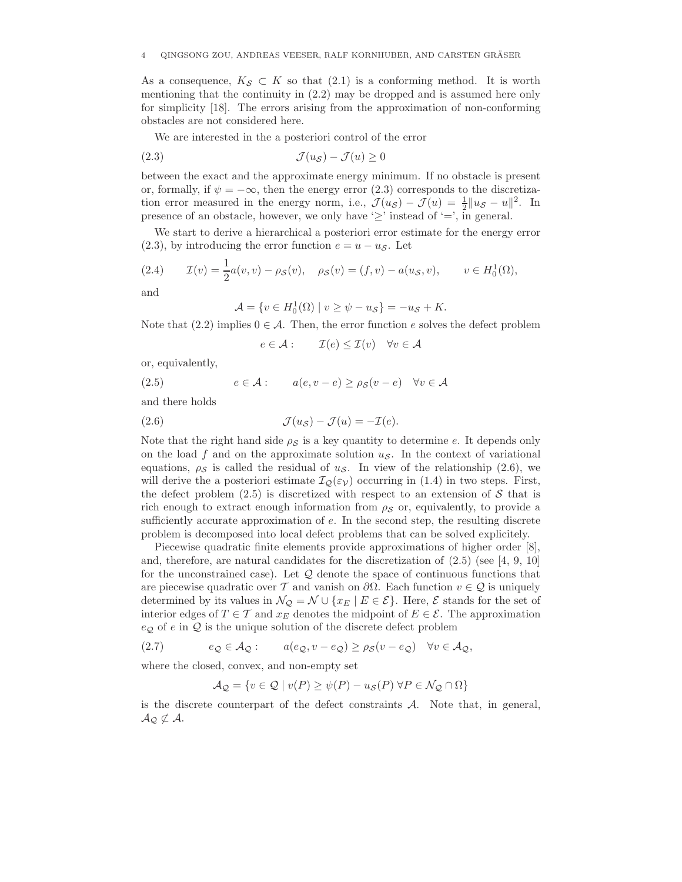As a consequence,  $K_{\mathcal{S}} \subset K$  so that (2.1) is a conforming method. It is worth mentioning that the continuity in (2.2) may be dropped and is assumed here only for simplicity [18]. The errors arising from the approximation of non-conforming obstacles are not considered here.

We are interested in the a posteriori control of the error

$$
(2.3) \t\t \t\t \mathcal{J}(u_{\mathcal{S}}) - \mathcal{J}(u) \ge 0
$$

between the exact and the approximate energy minimum. If no obstacle is present or, formally, if  $\psi = -\infty$ , then the energy error (2.3) corresponds to the discretization error measured in the energy norm, i.e.,  $\mathcal{J}(u_{\mathcal{S}}) - \mathcal{J}(u) = \frac{1}{2} ||u_{\mathcal{S}} - u||^2$ . In presence of an obstacle, however, we only have ' $\geq$ ' instead of '=', in general.

We start to derive a hierarchical a posteriori error estimate for the energy error (2.3), by introducing the error function  $e = u - u<sub>S</sub>$ . Let

(2.4) 
$$
\mathcal{I}(v) = \frac{1}{2}a(v, v) - \rho_{\mathcal{S}}(v), \quad \rho_{\mathcal{S}}(v) = (f, v) - a(u_{\mathcal{S}}, v), \qquad v \in H_0^1(\Omega),
$$

and

$$
\mathcal{A} = \{ v \in H_0^1(\Omega) \mid v \ge \psi - u_{\mathcal{S}} \} = -u_{\mathcal{S}} + K.
$$

Note that (2.2) implies  $0 \in \mathcal{A}$ . Then, the error function e solves the defect problem

$$
e \in \mathcal{A} : \qquad \mathcal{I}(e) \le \mathcal{I}(v) \quad \forall v \in \mathcal{A}
$$

or, equivalently,

(2.5)  $e \in \mathcal{A}: a(e, v-e) > \rho_{\mathcal{S}}(v-e) \quad \forall v \in \mathcal{A}$ 

and there holds

(2.6) 
$$
\mathcal{J}(u_{\mathcal{S}}) - \mathcal{J}(u) = -\mathcal{I}(e).
$$

Note that the right hand side  $\rho_S$  is a key quantity to determine e. It depends only on the load f and on the approximate solution  $u<sub>S</sub>$ . In the context of variational equations,  $\rho_{\mathcal{S}}$  is called the residual of  $u_{\mathcal{S}}$ . In view of the relationship (2.6), we will derive the a posteriori estimate  $\mathcal{I}_{\mathcal{Q}}(\varepsilon_{\mathcal{V}})$  occurring in (1.4) in two steps. First, the defect problem  $(2.5)$  is discretized with respect to an extension of S that is rich enough to extract enough information from  $\rho_S$  or, equivalently, to provide a sufficiently accurate approximation of e. In the second step, the resulting discrete problem is decomposed into local defect problems that can be solved explicitely.

Piecewise quadratic finite elements provide approximations of higher order [8], and, therefore, are natural candidates for the discretization of  $(2.5)$  (see [4, 9, 10] for the unconstrained case). Let  $\mathcal Q$  denote the space of continuous functions that are piecewise quadratic over T and vanish on  $\partial\Omega$ . Each function  $v \in \mathcal{Q}$  is uniquely determined by its values in  $\mathcal{N}_{\mathcal{Q}} = \mathcal{N} \cup \{x_E \mid E \in \mathcal{E}\}\.$  Here,  $\mathcal{E}$  stands for the set of interior edges of  $T \in \mathcal{T}$  and  $x_E$  denotes the midpoint of  $E \in \mathcal{E}$ . The approximation  $e_{\mathcal{Q}}$  of e in  $\mathcal Q$  is the unique solution of the discrete defect problem

(2.7) 
$$
e_{\mathcal{Q}} \in \mathcal{A}_{\mathcal{Q}}: \qquad a(e_{\mathcal{Q}}, v - e_{\mathcal{Q}}) \ge \rho_{\mathcal{S}}(v - e_{\mathcal{Q}}) \quad \forall v \in \mathcal{A}_{\mathcal{Q}},
$$

where the closed, convex, and non-empty set

$$
\mathcal{A}_{\mathcal{Q}} = \{ v \in \mathcal{Q} \mid v(P) \ge \psi(P) - u_{\mathcal{S}}(P) \; \forall P \in \mathcal{N}_{\mathcal{Q}} \cap \Omega \}
$$

is the discrete counterpart of the defect constraints A. Note that, in general,  $A_{\mathcal{Q}}\not\subset A$ .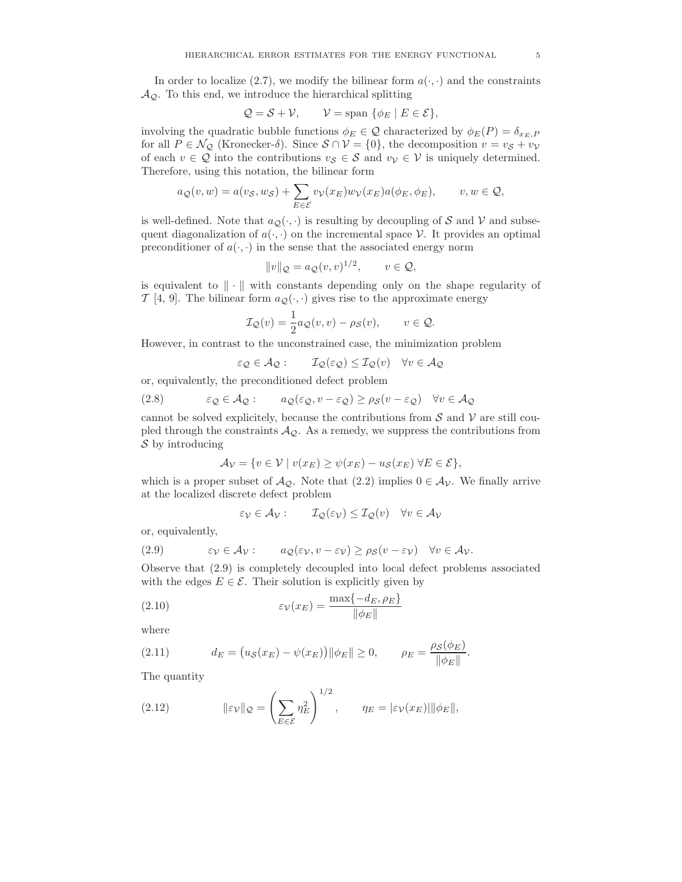In order to localize (2.7), we modify the bilinear form  $a(\cdot, \cdot)$  and the constraints  $A_{\mathcal{Q}}$ . To this end, we introduce the hierarchical splitting

$$
Q = S + V, \qquad V = \text{span } \{ \phi_E \mid E \in \mathcal{E} \},
$$

involving the quadratic bubble functions  $\phi_E \in \mathcal{Q}$  characterized by  $\phi_E(P) = \delta_{x_E,P}$ for all  $P \in \mathcal{N}_{\mathcal{Q}}$  (Kronecker- $\delta$ ). Since  $S \cap \mathcal{V} = \{0\}$ , the decomposition  $v = v_{\mathcal{S}} + v_{\mathcal{V}}$ of each  $v \in \mathcal{Q}$  into the contributions  $v_{\mathcal{S}} \in \mathcal{S}$  and  $v_{\mathcal{V}} \in \mathcal{V}$  is uniquely determined. Therefore, using this notation, the bilinear form

$$
a_{\mathcal{Q}}(v, w) = a(v_{\mathcal{S}}, w_{\mathcal{S}}) + \sum_{E \in \mathcal{E}} v_{\mathcal{V}}(x_E) w_{\mathcal{V}}(x_E) a(\phi_E, \phi_E), \qquad v, w \in \mathcal{Q},
$$

is well-defined. Note that  $a_{\mathcal{Q}}(\cdot, \cdot)$  is resulting by decoupling of  $\mathcal S$  and  $\mathcal V$  and subsequent diagonalization of  $a(\cdot, \cdot)$  on the incremental space V. It provides an optimal preconditioner of  $a(\cdot, \cdot)$  in the sense that the associated energy norm

$$
||v||_{\mathcal{Q}} = a_{\mathcal{Q}}(v, v)^{1/2}, \qquad v \in \mathcal{Q},
$$

is equivalent to  $\|\cdot\|$  with constants depending only on the shape regularity of  $\mathcal{T}$  [4, 9]. The bilinear form  $a_{\mathcal{Q}}(\cdot, \cdot)$  gives rise to the approximate energy

$$
\mathcal{I}_{\mathcal{Q}}(v) = \frac{1}{2}a_{\mathcal{Q}}(v, v) - \rho_{\mathcal{S}}(v), \qquad v \in \mathcal{Q}.
$$

However, in contrast to the unconstrained case, the minimization problem

$$
\varepsilon_{\mathcal{Q}} \in \mathcal{A}_{\mathcal{Q}}: \qquad \mathcal{I}_{\mathcal{Q}}(\varepsilon_{\mathcal{Q}}) \leq \mathcal{I}_{\mathcal{Q}}(v) \quad \forall v \in \mathcal{A}_{\mathcal{Q}}
$$

or, equivalently, the preconditioned defect problem

(2.8) 
$$
\varepsilon_{\mathcal{Q}} \in \mathcal{A}_{\mathcal{Q}}: \qquad a_{\mathcal{Q}}(\varepsilon_{\mathcal{Q}}, v - \varepsilon_{\mathcal{Q}}) \ge \rho_{\mathcal{S}}(v - \varepsilon_{\mathcal{Q}}) \quad \forall v \in \mathcal{A}_{\mathcal{Q}}
$$

cannot be solved explicitely, because the contributions from  $S$  and  $V$  are still coupled through the constraints  $A_{\mathcal{Q}}$ . As a remedy, we suppress the contributions from  $\mathcal S$  by introducing

$$
\mathcal{A}_{\mathcal{V}} = \{ v \in \mathcal{V} \mid v(x_E) \ge \psi(x_E) - u_{\mathcal{S}}(x_E) \ \forall E \in \mathcal{E} \},
$$

which is a proper subset of  $\mathcal{A}_{\mathcal{Q}}$ . Note that  $(2.2)$  implies  $0 \in \mathcal{A}_{\mathcal{V}}$ . We finally arrive at the localized discrete defect problem

$$
\varepsilon_{\mathcal{V}} \in \mathcal{A}_{\mathcal{V}}: \qquad \mathcal{I}_{\mathcal{Q}}(\varepsilon_{\mathcal{V}}) \leq \mathcal{I}_{\mathcal{Q}}(v) \quad \forall v \in \mathcal{A}_{\mathcal{V}}
$$

or, equivalently,

(2.9) 
$$
\varepsilon_{\mathcal{V}} \in \mathcal{A}_{\mathcal{V}}: a_{\mathcal{Q}}(\varepsilon_{\mathcal{V}}, v - \varepsilon_{\mathcal{V}}) \ge \rho_{\mathcal{S}}(v - \varepsilon_{\mathcal{V}}) \quad \forall v \in \mathcal{A}_{\mathcal{V}}.
$$

Observe that (2.9) is completely decoupled into local defect problems associated with the edges  $E \in \mathcal{E}$ . Their solution is explicitly given by

(2.10) 
$$
\varepsilon_{\mathcal{V}}(x_E) = \frac{\max\{-d_E, \rho_E\}}{\|\phi_E\|}
$$

where

(2.11) 
$$
d_E = (u_S(x_E) - \psi(x_E)) ||\phi_E|| \ge 0, \qquad \rho_E = \frac{\rho_S(\phi_E)}{||\phi_E||}.
$$

The quantity

(2.12) 
$$
\|\varepsilon_{\mathcal{V}}\|_{\mathcal{Q}} = \left(\sum_{E \in \mathcal{E}} \eta_E^2\right)^{1/2}, \qquad \eta_E = |\varepsilon_{\mathcal{V}}(x_E)| \|\phi_E\|,
$$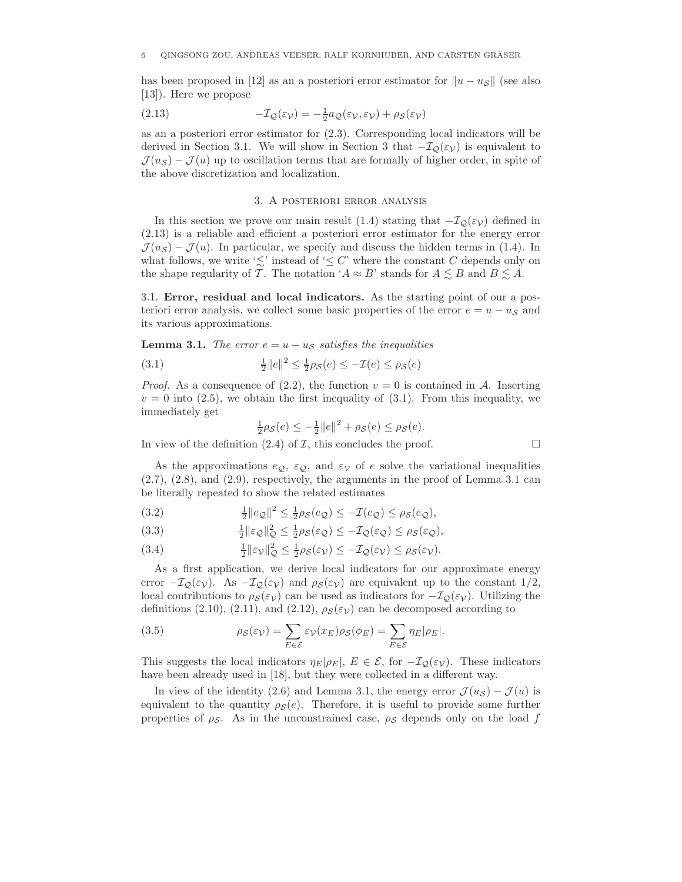has been proposed in [12] as an a posteriori error estimator for  $||u - u_{\mathcal{S}}||$  (see also [13]). Here we propose

(2.13) 
$$
-\mathcal{I}_{\mathcal{Q}}(\varepsilon_{\mathcal{V}}) = -\frac{1}{2}a_{\mathcal{Q}}(\varepsilon_{\mathcal{V}}, \varepsilon_{\mathcal{V}}) + \rho_{\mathcal{S}}(\varepsilon_{\mathcal{V}})
$$

as an a posteriori error estimator for (2.3). Corresponding local indicators will be derived in Section 3.1. We will show in Section 3 that  $-\mathcal{I}_{\mathcal{Q}}(\varepsilon_{\mathcal{V}})$  is equivalent to  $\mathcal{J}(u_{\mathcal{S}}) - \mathcal{J}(u)$  up to oscillation terms that are formally of higher order, in spite of the above discretization and localization.

## 3. A posteriori error analysis

In this section we prove our main result (1.4) stating that  $-\mathcal{I}_{\mathcal{Q}}(\varepsilon_{\mathcal{V}})$  defined in (2.13) is a reliable and efficient a posteriori error estimator for the energy error  $\mathcal{J}(u_{\mathcal{S}}) - \mathcal{J}(u)$ . In particular, we specify and discuss the hidden terms in (1.4). In what follows, we write ' $\lesssim$ ' instead of ' $\leq C$ ' where the constant C depends only on the shape regularity of  $\mathcal{T}$ . The notation ' $A \approx B$ ' stands for  $A \lesssim B$  and  $B \lesssim A$ .

3.1. **Error, residual and local indicators.** As the starting point of our a posteriori error analysis, we collect some basic properties of the error  $e = u - u<sub>S</sub>$  and its various approximations.

**Lemma 3.1.** *The error*  $e = u - u<sub>S</sub>$  *satisfies the inequalities* 

(3.1) 
$$
\frac{1}{2}||e||^2 \le \frac{1}{2}\rho_{\mathcal{S}}(e) \le -\mathcal{I}(e) \le \rho_{\mathcal{S}}(e)
$$

*Proof.* As a consequence of (2.2), the function  $v = 0$  is contained in A. Inserting  $v = 0$  into (2.5), we obtain the first inequality of (3.1). From this inequality, we immediately get

$$
\frac{1}{2}\rho_{\mathcal{S}}(e) \le -\frac{1}{2}||e||^2 + \rho_{\mathcal{S}}(e) \le \rho_{\mathcal{S}}(e).
$$

In view of the definition (2.4) of  $\mathcal I$ , this concludes the proof.  $\Box$ 

As the approximations  $e_{\Omega}$ ,  $\varepsilon_{\Omega}$ , and  $\varepsilon_{\mathcal{V}}$  of e solve the variational inequalities  $(2.7), (2.8),$  and  $(2.9),$  respectively, the arguments in the proof of Lemma 3.1 can be literally repeated to show the related estimates

(3.2) 
$$
\frac{1}{2}||e_{\mathcal{Q}}||^2 \leq \frac{1}{2}\rho_{\mathcal{S}}(e_{\mathcal{Q}}) \leq -\mathcal{I}(e_{\mathcal{Q}}) \leq \rho_{\mathcal{S}}(e_{\mathcal{Q}}),
$$

(3.3) 
$$
\frac{1}{2} \|\varepsilon_{\mathcal{Q}}\|_{\mathcal{Q}}^2 \le \frac{1}{2} \rho_{\mathcal{S}}(\varepsilon_{\mathcal{Q}}) \le -\mathcal{I}_{\mathcal{Q}}(\varepsilon_{\mathcal{Q}}) \le \rho_{\mathcal{S}}(\varepsilon_{\mathcal{Q}}),
$$

(3.4) 
$$
\frac{1}{2} \|\varepsilon_{\mathcal{V}}\|_{\mathcal{Q}}^2 \leq \frac{1}{2} \rho_{\mathcal{S}}(\varepsilon_{\mathcal{V}}) \leq -\mathcal{I}_{\mathcal{Q}}(\varepsilon_{\mathcal{V}}) \leq \rho_{\mathcal{S}}(\varepsilon_{\mathcal{V}}).
$$

As a first application, we derive local indicators for our approximate energy error  $-\mathcal{I}_{\mathcal{Q}}(\varepsilon_{\mathcal{V}})$ . As  $-\mathcal{I}_{\mathcal{Q}}(\varepsilon_{\mathcal{V}})$  and  $\rho_{\mathcal{S}}(\varepsilon_{\mathcal{V}})$  are equivalent up to the constant  $1/2$ , local contributions to  $\rho_{\mathcal{S}}(\varepsilon_{\mathcal{V}})$  can be used as indicators for  $-\mathcal{I}_{\mathcal{Q}}(\varepsilon_{\mathcal{V}})$ . Utilizing the definitions (2.10), (2.11), and (2.12),  $\rho_{\mathcal{S}}(\varepsilon_{\mathcal{V}})$  can be decomposed according to

(3.5) 
$$
\rho_{\mathcal{S}}(\varepsilon_{\mathcal{V}}) = \sum_{E \in \mathcal{E}} \varepsilon_{\mathcal{V}}(x_E) \rho_{\mathcal{S}}(\phi_E) = \sum_{E \in \mathcal{E}} \eta_E |\rho_E|.
$$

This suggests the local indicators  $\eta_E|\rho_E|, E \in \mathcal{E}$ , for  $-\mathcal{I}_{\mathcal{Q}}(\varepsilon_{\mathcal{V}})$ . These indicators have been already used in [18], but they were collected in a different way.

In view of the identity (2.6) and Lemma 3.1, the energy error  $\mathcal{J}(u_{\mathcal{S}}) - \mathcal{J}(u)$  is equivalent to the quantity  $\rho_{\mathcal{S}}(e)$ . Therefore, it is useful to provide some further properties of  $\rho_{\mathcal{S}}$ . As in the unconstrained case,  $\rho_{\mathcal{S}}$  depends only on the load f

$$
\Box
$$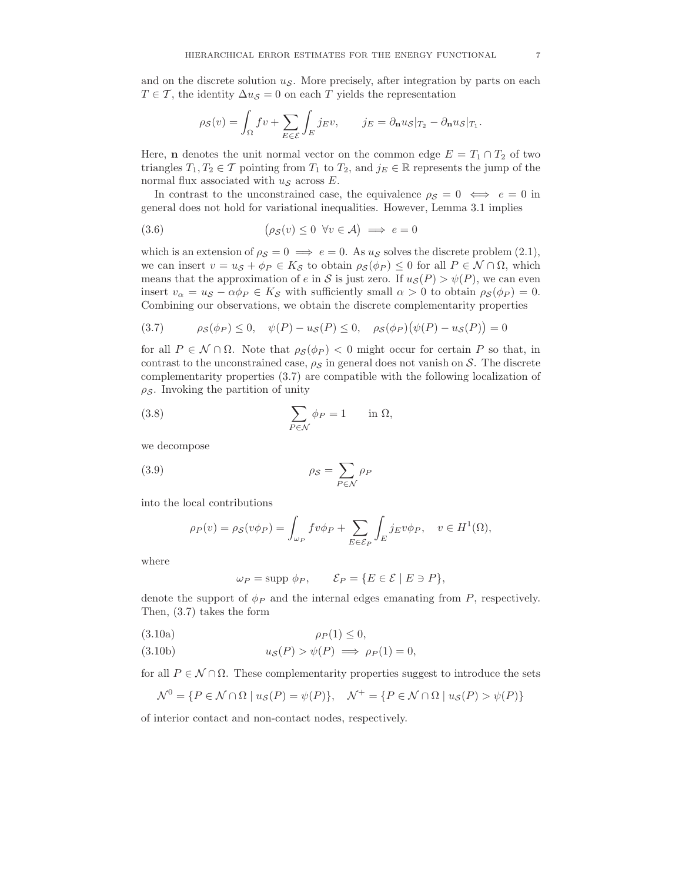and on the discrete solution  $u<sub>S</sub>$ . More precisely, after integration by parts on each  $T \in \mathcal{T}$ , the identity  $\Delta u_{\mathcal{S}} = 0$  on each T yields the representation

$$
\rho_{\mathcal{S}}(v) = \int_{\Omega} fv + \sum_{E \in \mathcal{E}} \int_{E} j_E v, \qquad j_E = \partial_{\mathbf{n}} u_{\mathcal{S}}|_{T_2} - \partial_{\mathbf{n}} u_{\mathcal{S}}|_{T_1}.
$$

Here, **n** denotes the unit normal vector on the common edge  $E = T_1 \cap T_2$  of two triangles  $T_1, T_2 \in \mathcal{T}$  pointing from  $T_1$  to  $T_2$ , and  $j_E \in \mathbb{R}$  represents the jump of the normal flux associated with  $u<sub>S</sub>$  across E.

In contrast to the unconstrained case, the equivalence  $\rho_S = 0 \iff e = 0$  in general does not hold for variational inequalities. However, Lemma 3.1 implies

(3.6) 
$$
(\rho_{\mathcal{S}}(v) \leq 0 \ \forall v \in \mathcal{A}) \implies e = 0
$$

which is an extension of  $\rho_S = 0 \implies e = 0$ . As  $u_S$  solves the discrete problem (2.1), we can insert  $v = u_{\mathcal{S}} + \phi_P \in K_{\mathcal{S}}$  to obtain  $\rho_{\mathcal{S}}(\phi_P) \leq 0$  for all  $P \in \mathcal{N} \cap \Omega$ , which means that the approximation of e in S is just zero. If  $u_{\mathcal{S}}(P) > \psi(P)$ , we can even insert  $v_{\alpha} = u_{\mathcal{S}} - \alpha \phi_P \in K_{\mathcal{S}}$  with sufficiently small  $\alpha > 0$  to obtain  $\rho_{\mathcal{S}}(\phi_P) = 0$ . Combining our observations, we obtain the discrete complementarity properties

(3.7) 
$$
\rho_S(\phi_P) \le 0, \quad \psi(P) - u_S(P) \le 0, \quad \rho_S(\phi_P)(\psi(P) - u_S(P)) = 0
$$

for all  $P \in \mathcal{N} \cap \Omega$ . Note that  $\rho_{\mathcal{S}}(\phi_P) < 0$  might occur for certain P so that, in contrast to the unconstrained case,  $\rho_S$  in general does not vanish on S. The discrete complementarity properties (3.7) are compatible with the following localization of  $\rho_{\mathcal{S}}$ . Invoking the partition of unity

(3.8) 
$$
\sum_{P \in \mathcal{N}} \phi_P = 1 \quad \text{in } \Omega,
$$

we decompose

$$
\rho_S = \sum_{P \in \mathcal{N}} \rho_P
$$

into the local contributions

$$
\rho_P(v) = \rho_S(v\phi_P) = \int_{\omega_P} f v \phi_P + \sum_{E \in \mathcal{E}_P} \int_E j_E v \phi_P, \quad v \in H^1(\Omega),
$$

where

$$
\omega_P = \text{supp }\phi_P, \qquad \mathcal{E}_P = \{ E \in \mathcal{E} \mid E \ni P \},
$$

denote the support of  $\phi_P$  and the internal edges emanating from P, respectively. Then, (3.7) takes the form

$$
\rho_P(1) \le 0,
$$

(3.10b) 
$$
u_{\mathcal{S}}(P) > \psi(P) \implies \rho_P(1) = 0,
$$

for all  $P \in \mathcal{N} \cap \Omega$ . These complementarity properties suggest to introduce the sets

$$
\mathcal{N}^0 = \{ P \in \mathcal{N} \cap \Omega \mid u_{\mathcal{S}}(P) = \psi(P) \}, \quad \mathcal{N}^+ = \{ P \in \mathcal{N} \cap \Omega \mid u_{\mathcal{S}}(P) > \psi(P) \}
$$

of interior contact and non-contact nodes, respectively.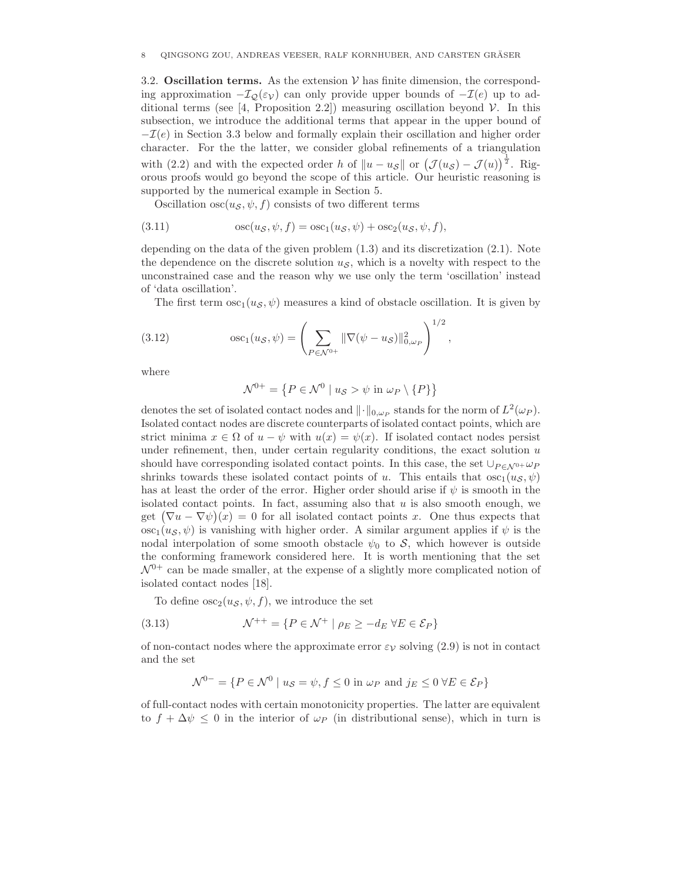3.2. **Oscillation terms.** As the extension  $V$  has finite dimension, the corresponding approximation  $-\mathcal{I}_{\mathcal{Q}}(\varepsilon_{\mathcal{V}})$  can only provide upper bounds of  $-\mathcal{I}(e)$  up to additional terms (see [4, Proposition 2.2]) measuring oscillation beyond  $\mathcal V$ . In this subsection, we introduce the additional terms that appear in the upper bound of  $-\mathcal{I}(e)$  in Section 3.3 below and formally explain their oscillation and higher order character. For the the latter, we consider global refinements of a triangulation with (2.2) and with the expected order h of  $||u - u_{\mathcal{S}}||$  or  $(\mathcal{J}(u_{\mathcal{S}}) - \mathcal{J}(u))^{\frac{1}{2}}$ . Rigorous proofs would go beyond the scope of this article. Our heuristic reasoning is supported by the numerical example in Section 5.

Oscillation  $\csc(u_s, \psi, f)$  consists of two different terms

(3.11) 
$$
\qquad \qquad \text{osc}(u_{\mathcal{S}}, \psi, f) = \text{osc}_1(u_{\mathcal{S}}, \psi) + \text{osc}_2(u_{\mathcal{S}}, \psi, f),
$$

depending on the data of the given problem (1.3) and its discretization (2.1). Note the dependence on the discrete solution  $u<sub>S</sub>$ , which is a novelty with respect to the unconstrained case and the reason why we use only the term 'oscillation' instead of 'data oscillation'.

The first term  $\csc_1(u_s, \psi)$  measures a kind of obstacle oscillation. It is given by

(3.12) 
$$
\qquad \qquad \text{osc}_1(u_{\mathcal{S}}, \psi) = \left( \sum_{P \in \mathcal{N}^{0+}} \|\nabla(\psi - u_{\mathcal{S}})\|_{0, \omega_P}^2 \right)^{1/2},
$$

where

$$
\mathcal{N}^{0+} = \left\{ P \in \mathcal{N}^0 \mid u_{\mathcal{S}} > \psi \text{ in } \omega_P \setminus \{P\} \right\}
$$

denotes the set of isolated contact nodes and  $\|\cdot\|_{0,\omega_P}$  stands for the norm of  $L^2(\omega_P)$ . Isolated contact nodes are discrete counterparts of isolated contact points, which are strict minima  $x \in \Omega$  of  $u - \psi$  with  $u(x) = \psi(x)$ . If isolated contact nodes persist under refinement, then, under certain regularity conditions, the exact solution  $u$ should have corresponding isolated contact points. In this case, the set  $\bigcup_{P \in \Lambda^{0+}} \omega_P$ shrinks towards these isolated contact points of u. This entails that  $\csc_1(u_\mathcal{S}, \psi)$ has at least the order of the error. Higher order should arise if  $\psi$  is smooth in the isolated contact points. In fact, assuming also that  $u$  is also smooth enough, we get  $(\nabla u - \nabla \psi)(x) = 0$  for all isolated contact points x. One thus expects that  $\csc_1(u_\mathcal{S}, \psi)$  is vanishing with higher order. A similar argument applies if  $\psi$  is the nodal interpolation of some smooth obstacle  $\psi_0$  to S, which however is outside the conforming framework considered here. It is worth mentioning that the set  $\mathcal{N}^{0+}$  can be made smaller, at the expense of a slightly more complicated notion of isolated contact nodes [18].

To define  $\csc_2(u_\mathcal{S}, \psi, f)$ , we introduce the set

(3.13) 
$$
\mathcal{N}^{++} = \{ P \in \mathcal{N}^+ \mid \rho_E \ge -d_E \ \forall E \in \mathcal{E}_P \}
$$

of non-contact nodes where the approximate error  $\varepsilon_{\mathcal{V}}$  solving (2.9) is not in contact and the set

$$
\mathcal{N}^{0-} = \{ P \in \mathcal{N}^0 \mid u_{\mathcal{S}} = \psi, f \le 0 \text{ in } \omega_P \text{ and } j_E \le 0 \ \forall E \in \mathcal{E}_P \}
$$

of full-contact nodes with certain monotonicity properties. The latter are equivalent to  $f + \Delta \psi \leq 0$  in the interior of  $\omega_P$  (in distributional sense), which in turn is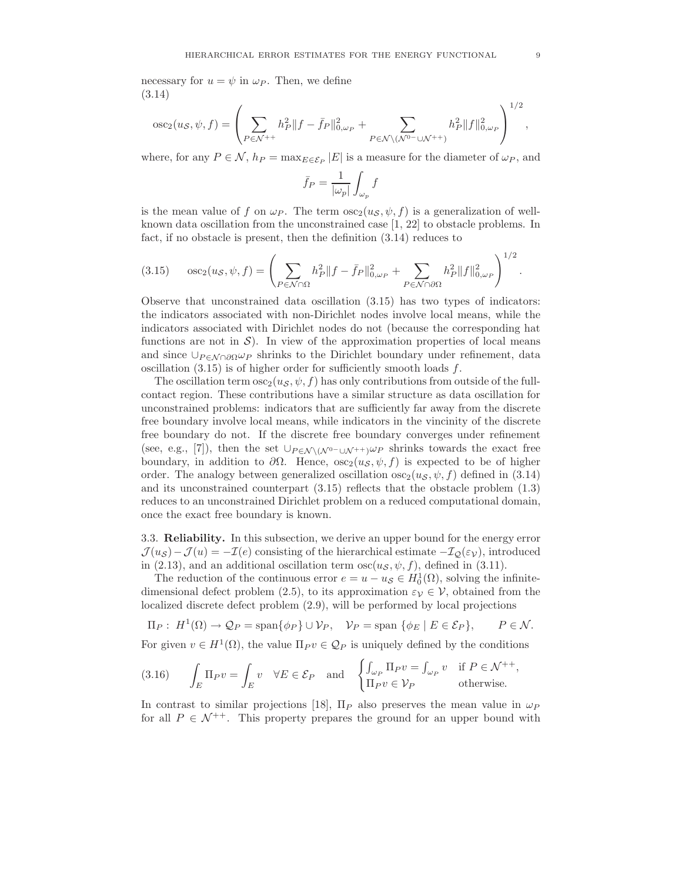necessary for  $u = \psi$  in  $\omega_P$ . Then, we define (3.14)

$$
\mathrm{osc}_{2}(u_{\mathcal{S}}, \psi, f) = \left(\sum_{P \in \mathcal{N}^{++}} h_{P}^{2} \|f - \bar{f}_{P}\|_{0, \omega_{P}}^{2} + \sum_{P \in \mathcal{N} \setminus (\mathcal{N}^{0}-\cup \mathcal{N}^{++})} h_{P}^{2} \|f\|_{0, \omega_{P}}^{2}\right)^{1/2},
$$

where, for any  $P \in \mathcal{N}$ ,  $h_P = \max_{E \in \mathcal{E}_P} |E|$  is a measure for the diameter of  $\omega_P$ , and

$$
\bar{f}_P = \frac{1}{|\omega_p|} \int_{\omega_p} f
$$

is the mean value of f on  $\omega_P$ . The term  $\csc_2(u_\mathcal{S}, \psi, f)$  is a generalization of wellknown data oscillation from the unconstrained case [1, 22] to obstacle problems. In fact, if no obstacle is present, then the definition (3.14) reduces to

(3.15) 
$$
\text{osc}_{2}(u_{\mathcal{S}}, \psi, f) = \left( \sum_{P \in \mathcal{N} \cap \Omega} h_{P}^{2} \| f - \bar{f}_{P} \|_{0, \omega_{P}}^{2} + \sum_{P \in \mathcal{N} \cap \partial \Omega} h_{P}^{2} \| f \|_{0, \omega_{P}}^{2} \right)^{1/2}.
$$

Observe that unconstrained data oscillation (3.15) has two types of indicators: the indicators associated with non-Dirichlet nodes involve local means, while the indicators associated with Dirichlet nodes do not (because the corresponding hat functions are not in  $\mathcal{S}$ ). In view of the approximation properties of local means and since  $\cup_{P \in \mathcal{N} \cap \partial \Omega} \omega_P$  shrinks to the Dirichlet boundary under refinement, data oscillation  $(3.15)$  is of higher order for sufficiently smooth loads f.

The oscillation term  $\cos_2(u_s, \psi, f)$  has only contributions from outside of the fullcontact region. These contributions have a similar structure as data oscillation for unconstrained problems: indicators that are sufficiently far away from the discrete free boundary involve local means, while indicators in the vincinity of the discrete free boundary do not. If the discrete free boundary converges under refinement (see, e.g., [7]), then the set  $\bigcup_{P \in \mathcal{N} \setminus (\mathcal{N}^0- \bigcup \mathcal{N}^+)} \varphi_P$  shrinks towards the exact free boundary, in addition to  $\partial\Omega$ . Hence,  $\cos\omega(u_s, \psi, f)$  is expected to be of higher order. The analogy between generalized oscillation  $\cos( u_s, \psi, f)$  defined in (3.14) and its unconstrained counterpart (3.15) reflects that the obstacle problem (1.3) reduces to an unconstrained Dirichlet problem on a reduced computational domain, once the exact free boundary is known.

3.3. **Reliability.** In this subsection, we derive an upper bound for the energy error  $\mathcal{J}(u_{\mathcal{S}}) - \mathcal{J}(u) = -\mathcal{I}(e)$  consisting of the hierarchical estimate  $-\mathcal{I}_{\mathcal{Q}}(\varepsilon_{\mathcal{V}})$ , introduced in (2.13), and an additional oscillation term  $osc(u<sub>S</sub>, \psi, f)$ , defined in (3.11).

The reduction of the continuous error  $e = u - u_{\mathcal{S}} \in H_0^1(\Omega)$ , solving the infinitedimensional defect problem (2.5), to its approximation  $\varepsilon_{\mathcal{V}} \in \mathcal{V}$ , obtained from the localized discrete defect problem (2.9), will be performed by local projections

$$
\Pi_P: H^1(\Omega) \to \mathcal{Q}_P = \text{span}\{\phi_P\} \cup \mathcal{V}_P, \quad \mathcal{V}_P = \text{span}\{\phi_E \mid E \in \mathcal{E}_P\}, \quad P \in \mathcal{N}.
$$

For given  $v \in H^1(\Omega)$ , the value  $\Pi_P v \in \mathcal{Q}_P$  is uniquely defined by the conditions

(3.16) 
$$
\int_{E} \Pi_{P} v = \int_{E} v \quad \forall E \in \mathcal{E}_{P} \quad \text{and} \quad \begin{cases} \int_{\omega_{P}} \Pi_{P} v = \int_{\omega_{P}} v & \text{if } P \in \mathcal{N}^{++}, \\ \Pi_{P} v \in \mathcal{V}_{P} & \text{otherwise.} \end{cases}
$$

In contrast to similar projections [18],  $\Pi_P$  also preserves the mean value in  $\omega_P$ for all  $P \in \mathcal{N}^{++}$ . This property prepares the ground for an upper bound with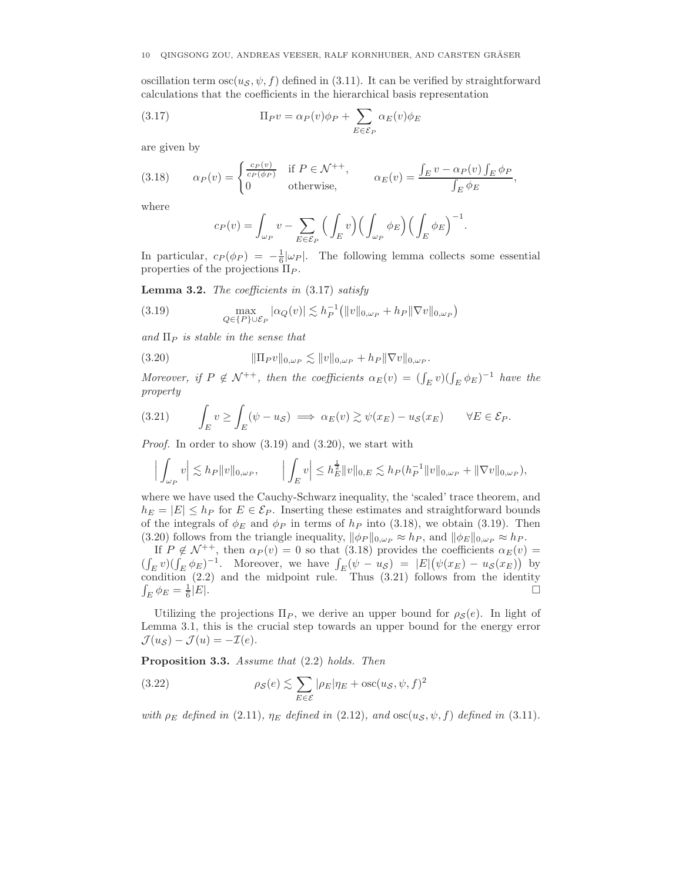### 10 QINGSONG ZOU, ANDREAS VEESER, RALF KORNHUBER, AND CARSTEN GRASER ¨

oscillation term  $\csc(u_s, \psi, f)$  defined in (3.11). It can be verified by straightforward calculations that the coefficients in the hierarchical basis representation

(3.17) 
$$
\Pi_P v = \alpha_P(v)\phi_P + \sum_{E \in \mathcal{E}_P} \alpha_E(v)\phi_E
$$

are given by

(3.18) 
$$
\alpha_P(v) = \begin{cases} \frac{c_P(v)}{c_P(\phi_P)} & \text{if } P \in \mathcal{N}^{++}, \\ 0 & \text{otherwise}, \end{cases} \qquad \alpha_E(v) = \frac{\int_E v - \alpha_P(v) \int_E \phi_P}{\int_E \phi_E},
$$

where

$$
c_P(v) = \int_{\omega_P} v - \sum_{E \in \mathcal{E}_P} \left( \int_E v \right) \left( \int_{\omega_P} \phi_E \right) \left( \int_E \phi_E \right)^{-1}.
$$

In particular,  $c_P(\phi_P) = -\frac{1}{6} |\omega_P|$ . The following lemma collects some essential properties of the projections  $\Pi_P$ .

**Lemma 3.2.** *The coefficients in* (3.17) *satisfy*

(3.19) 
$$
\max_{Q \in \{P\} \cup \mathcal{E}_P} |\alpha_Q(v)| \lesssim h_P^{-1} (||v||_{0,\omega_P} + h_P ||\nabla v||_{0,\omega_P})
$$

 $and \Pi_P$  *is stable in the sense that* 

(3.20) 
$$
\|\Pi_P v\|_{0,\omega_P} \lesssim \|v\|_{0,\omega_P} + h_P \|\nabla v\|_{0,\omega_P}.
$$

*Moreover, if*  $P \notin \mathcal{N}^{++}$ *, then the coefficients*  $\alpha_E(v) = (\int_E v)(\int_E \phi_E)^{-1}$  *have the property*

(3.21) 
$$
\int_E v \ge \int_E (\psi - u_{\mathcal{S}}) \implies \alpha_E(v) \gtrsim \psi(x_E) - u_{\mathcal{S}}(x_E) \qquad \forall E \in \mathcal{E}_P.
$$

*Proof.* In order to show (3.19) and (3.20), we start with

$$
\left| \int_{\omega_P} v \right| \lesssim h_P \|v\|_{0,\omega_P}, \qquad \left| \int_E v \right| \leq h_E^{\frac{1}{2}} \|v\|_{0,E} \lesssim h_P(h_P^{-1} \|v\|_{0,\omega_P} + \|\nabla v\|_{0,\omega_P}),
$$

where we have used the Cauchy-Schwarz inequality, the 'scaled' trace theorem, and  $h_E = |E| \leq h_P$  for  $E \in \mathcal{E}_P$ . Inserting these estimates and straightforward bounds of the integrals of  $\phi_E$  and  $\phi_P$  in terms of  $h_P$  into (3.18), we obtain (3.19). Then (3.20) follows from the triangle inequality,  $\|\phi_P\|_{0,\omega_P} \approx h_P$ , and  $\|\phi_E\|_{0,\omega_P} \approx h_P$ .

If  $P \notin \mathcal{N}^{++}$ , then  $\alpha_P(v) = 0$  so that (3.18) provides the coefficients  $\alpha_E(v) =$  $(\int_E v)(\int_E \phi_E)^{-1}$ . Moreover, we have  $\int_E (\psi - u_S) = |E| (\psi(x_E) - u_S(x_E))$  by condition (2.2) and the midpoint rule. Thus (3.21) follows from the identity  $\int_E \phi_E = \frac{1}{6}$  $\frac{1}{6}|E|$ .

Utilizing the projections  $\Pi_P$ , we derive an upper bound for  $\rho_{\mathcal{S}}(e)$ . In light of Lemma 3.1, this is the crucial step towards an upper bound for the energy error  $\mathcal{J}(u_{\mathcal{S}}) - \mathcal{J}(u) = -\mathcal{I}(e).$ 

**Proposition 3.3.** *Assume that* (2.2) *holds. Then*

(3.22) 
$$
\rho_{\mathcal{S}}(e) \lesssim \sum_{E \in \mathcal{E}} |\rho_E| \eta_E + \csc(u_{\mathcal{S}}, \psi, f)^2
$$

*with*  $\rho_E$  *defined in* (2.11)*,*  $\eta_E$  *defined in* (2.12)*, and*  $\operatorname{osc}(u_S, \psi, f)$  *defined in* (3.11)*.*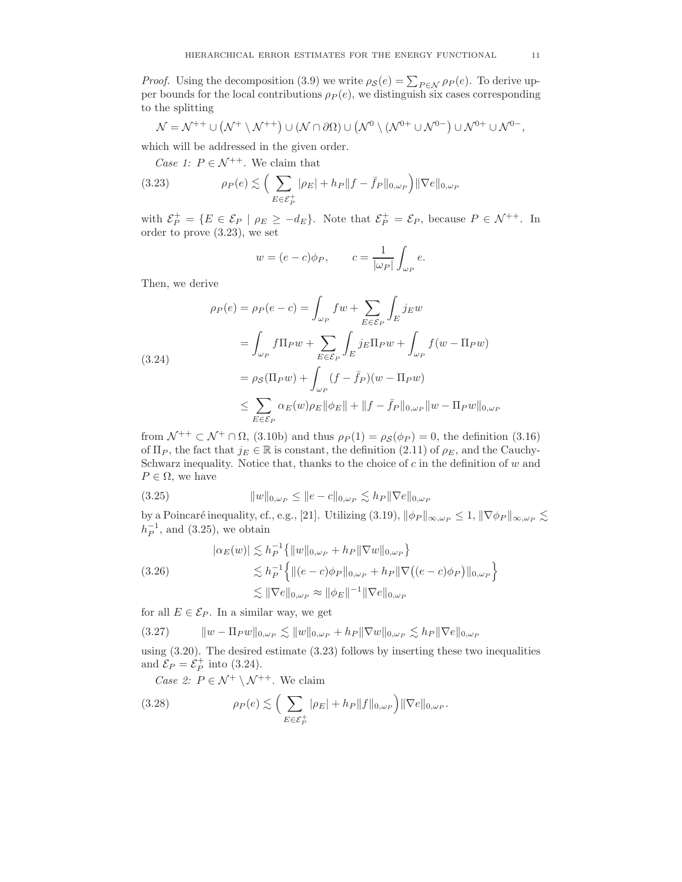*Proof.* Using the decomposition (3.9) we write  $\rho_{\mathcal{S}}(e) = \sum_{P \in \mathcal{N}} \rho_P(e)$ . To derive upper bounds for the local contributions  $\rho_P(e)$ , we distinguish six cases corresponding to the splitting

$$
\mathcal{N}=\mathcal{N}^{++}\cup\left(\mathcal{N}^+\setminus\mathcal{N}^{++}\right)\cup\left(\mathcal{N}\cap\partial\Omega\right)\cup\left(\mathcal{N}^0\setminus\left(\mathcal{N}^{0+}\cup\mathcal{N}^{0-}\right)\cup\mathcal{N}^{0+}\cup\mathcal{N}^{0-}\right),
$$

which will be addressed in the given order.

*Case 1:*  $P \in \mathcal{N}^{++}$ . We claim that

(3.23) 
$$
\rho_P(e) \lesssim \Big( \sum_{E \in \mathcal{E}_P^+} |\rho_E| + h_P \|f - \bar{f}_P\|_{0,\omega_P} \Big) \|\nabla e\|_{0,\omega_P}
$$

with  $\mathcal{E}_P^+ = \{ E \in \mathcal{E}_P \mid \rho_E \geq -d_E \}.$  Note that  $\mathcal{E}_P^+ = \mathcal{E}_P$ , because  $P \in \mathcal{N}^{++}$ . In order to prove (3.23), we set

$$
w = (e - c)\phi_P, \qquad c = \frac{1}{|\omega_P|} \int_{\omega_P} e.
$$

Then, we derive

$$
\rho_P(e) = \rho_P(e - c) = \int_{\omega_P} f w + \sum_{E \in \mathcal{E}_P} \int_E j_E w
$$
  
= 
$$
\int_{\omega_P} f \Pi_P w + \sum_{E \in \mathcal{E}_P} \int_E j_E \Pi_P w + \int_{\omega_P} f(w - \Pi_P w)
$$
  
= 
$$
\rho_S(\Pi_P w) + \int_{\omega_P} (f - \bar{f}_P)(w - \Pi_P w)
$$
  

$$
\leq \sum_{E \in \mathcal{E}_P} \alpha_E(w) \rho_E ||\phi_E|| + ||f - \bar{f}_P||_{0, \omega_P} ||w - \Pi_P w||_{0, \omega_P}
$$

from  $\mathcal{N}^+$   $\subset \mathcal{N}^+ \cap \Omega$ , (3.10b) and thus  $\rho_P(1) = \rho_S(\phi_P) = 0$ , the definition (3.16) of  $\Pi_P$ , the fact that  $j_E \in \mathbb{R}$  is constant, the definition (2.11) of  $\rho_E$ , and the Cauchy-Schwarz inequality. Notice that, thanks to the choice of  $c$  in the definition of  $w$  and  $P \in \Omega$ , we have

(3.25) 
$$
||w||_{0,\omega_P} \le ||e - c||_{0,\omega_P} \lesssim h_P ||\nabla e||_{0,\omega_P}
$$

by a Poincaré inequality, cf., e.g., [21]. Utilizing  $(3.19)$ ,  $\|\phi_P\|_{\infty,\omega_P} \leq 1$ ,  $\|\nabla \phi_P\|_{\infty,\omega_P} \leq$  $h_P^{-1}$ , and (3.25), we obtain

$$
|\alpha_E(w)| \lesssim h_P^{-1} \{ ||w||_{0,\omega_P} + h_P ||\nabla w||_{0,\omega_P} \}
$$
  
(3.26)  

$$
\lesssim h_P^{-1} \{ ||(e-c)\phi_P||_{0,\omega_P} + h_P ||\nabla ((e-c)\phi_P)||_{0,\omega_P} \}
$$
  

$$
\lesssim ||\nabla e||_{0,\omega_P} \approx ||\phi_E||^{-1} ||\nabla e||_{0,\omega_P}
$$

for all  $E \in \mathcal{E}_P$ . In a similar way, we get

$$
(3.27) \t\t ||w - \Pi_P w||_{0,\omega_P} \lesssim ||w||_{0,\omega_P} + h_P ||\nabla w||_{0,\omega_P} \lesssim h_P ||\nabla e||_{0,\omega_P}
$$

using (3.20). The desired estimate (3.23) follows by inserting these two inequalities and  $\mathcal{E}_P = \mathcal{E}_P^+$  into (3.24).

*Case 2:*  $P \in \mathcal{N}^+ \setminus \mathcal{N}^{++}$ . We claim

(3.28) 
$$
\rho_P(e) \lesssim \Big( \sum_{E \in \mathcal{E}_P^+} |\rho_E| + h_P \|f\|_{0,\omega_P} \Big) \|\nabla e\|_{0,\omega_P}.
$$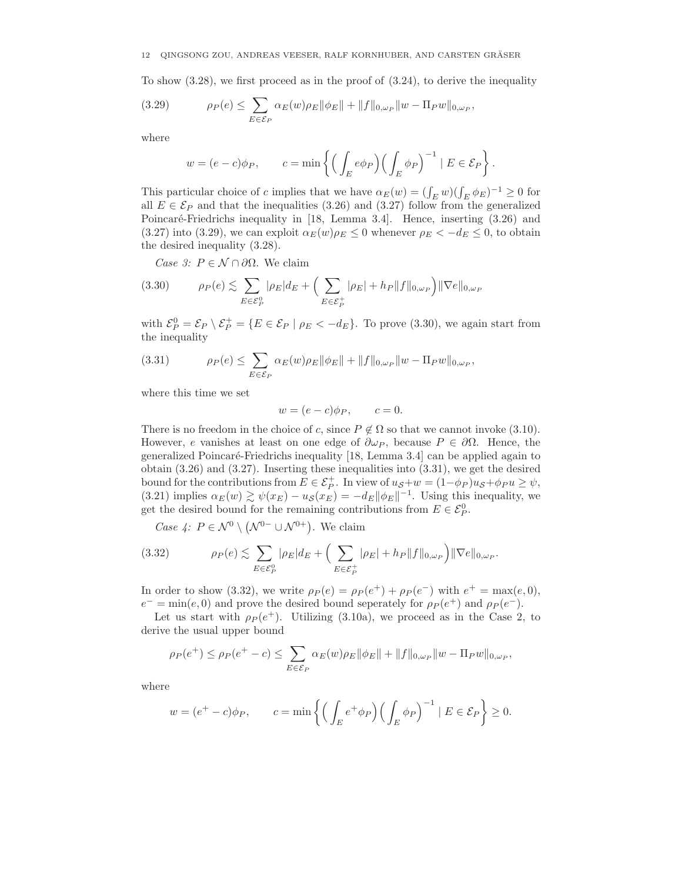To show  $(3.28)$ , we first proceed as in the proof of  $(3.24)$ , to derive the inequality

(3.29) 
$$
\rho_P(e) \leq \sum_{E \in \mathcal{E}_P} \alpha_E(w) \rho_E ||\phi_E|| + ||f||_{0,\omega_P} ||w - \Pi_P w||_{0,\omega_P},
$$

where

$$
w = (e - c)\phi_P
$$
,  $c = \min\left\{ \left( \int_E e \phi_P \right) \left( \int_E \phi_P \right)^{-1} | E \in \mathcal{E}_P \right\}.$ 

This particular choice of c implies that we have  $\alpha_E(w) = (\int_E w)(\int_E \phi_E)^{-1} \ge 0$  for all  $E \in \mathcal{E}_P$  and that the inequalities (3.26) and (3.27) follow from the generalized Poincaré-Friedrichs inequality in [18, Lemma 3.4]. Hence, inserting (3.26) and (3.27) into (3.29), we can exploit  $\alpha_E(w)\rho_E \leq 0$  whenever  $\rho_E < -d_E \leq 0$ , to obtain the desired inequality (3.28).

*Case 3:*  $P \in \mathcal{N} \cap \partial \Omega$ . We claim

$$
(3.30) \qquad \rho_P(e) \lesssim \sum_{E \in \mathcal{E}_P^0} |\rho_E| d_E + \Big( \sum_{E \in \mathcal{E}_P^+} |\rho_E| + h_P \|f\|_{0,\omega_P} \Big) \|\nabla e\|_{0,\omega_P}
$$

with  $\mathcal{E}_P^0 = \mathcal{E}_P \setminus \mathcal{E}_P^+ = \{ E \in \mathcal{E}_P \mid \rho_E < -d_E \}.$  To prove (3.30), we again start from the inequality

(3.31) 
$$
\rho_P(e) \leq \sum_{E \in \mathcal{E}_P} \alpha_E(w) \rho_E ||\phi_E|| + ||f||_{0,\omega_P} ||w - \Pi_P w||_{0,\omega_P},
$$

where this time we set

 $w = (e - c)\phi_P, \qquad c = 0.$ 

There is no freedom in the choice of c, since  $P \notin \Omega$  so that we cannot invoke (3.10). However, e vanishes at least on one edge of  $\partial \omega_P$ , because  $P \in \partial \Omega$ . Hence, the generalized Poincar´e-Friedrichs inequality [18, Lemma 3.4] can be applied again to obtain  $(3.26)$  and  $(3.27)$ . Inserting these inequalities into  $(3.31)$ , we get the desired bound for the contributions from  $E \in \mathcal{E}_P^+$ . In view of  $u_{\mathcal{S}}+w = (1-\phi_P)u_{\mathcal{S}}+\phi_P u \geq \psi$ , (3.21) implies  $\alpha_E(w) \gtrsim \psi(x_E) - u_{\mathcal{S}}(x_E) = -d_E ||\phi_E||^{-1}$ . Using this inequality, we get the desired bound for the remaining contributions from  $E \in \mathcal{E}_P^0$ .

*Case 4:*  $P \in \mathcal{N}^0 \setminus (\mathcal{N}^{0-} \cup \mathcal{N}^{0+})$ . We claim

(3.32) 
$$
\rho_P(e) \lesssim \sum_{E \in \mathcal{E}_P^0} |\rho_E| d_E + \Big( \sum_{E \in \mathcal{E}_P^+} |\rho_E| + h_P \|f\|_{0,\omega_P} \Big) \|\nabla e\|_{0,\omega_P}.
$$

In order to show (3.32), we write  $\rho_P(e) = \rho_P(e^+) + \rho_P(e^-)$  with  $e^+ = \max(e, 0)$ ,  $e^- = \min(e, 0)$  and prove the desired bound seperately for  $\rho_P(e^+)$  and  $\rho_P(e^-)$ .

Let us start with  $\rho_P (e^+)$ . Utilizing (3.10a), we proceed as in the Case 2, to derive the usual upper bound

$$
\rho_P(e^+) \leq \rho_P(e^+ - c) \leq \sum_{E \in \mathcal{E}_P} \alpha_E(w) \rho_E ||\phi_E|| + ||f||_{0,\omega_P} ||w - \Pi_P w||_{0,\omega_P},
$$

where

$$
w = (e^+ - c)\phi_P
$$
,  $c = \min\left\{ \left( \int_E e^+ \phi_P \right) \left( \int_E \phi_P \right)^{-1} \mid E \in \mathcal{E}_P \right\} \ge 0.$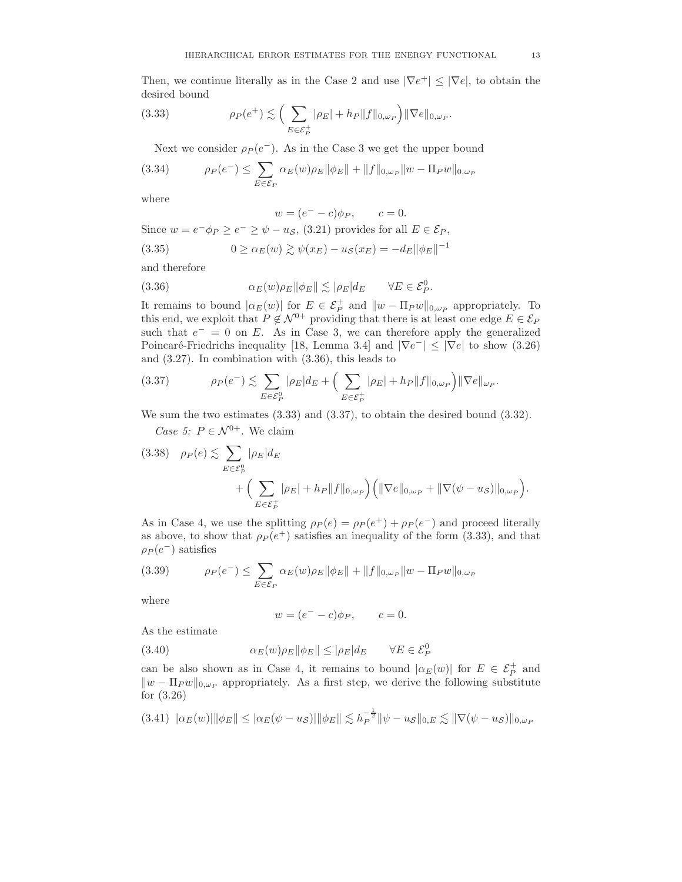Then, we continue literally as in the Case 2 and use  $|\nabla e^+| \leq |\nabla e|$ , to obtain the desired bound

(3.33) 
$$
\rho_P(e^+) \lesssim \Big(\sum_{E \in \mathcal{E}_P^+} |\rho_E| + h_P \|f\|_{0,\omega_P}\Big) \|\nabla e\|_{0,\omega_P}.
$$

Next we consider  $\rho_P (e^-)$ . As in the Case 3 we get the upper bound

(3.34) 
$$
\rho_P(e^-) \leq \sum_{E \in \mathcal{E}_P} \alpha_E(w) \rho_E ||\phi_E|| + ||f||_{0,\omega_P} ||w - \Pi_P w||_{0,\omega_P}
$$

where

$$
w = (e^- - c)\phi_P, \qquad c = 0.
$$

Since  $w = e^- \phi_P \ge e^- \ge \psi - u_{\mathcal{S}}$ , (3.21) provides for all  $E \in \mathcal{E}_P$ ,

(3.35) 
$$
0 \ge \alpha_E(w) \gtrsim \psi(x_E) - u_{\mathcal{S}}(x_E) = -d_E ||\phi_E||^{-1}
$$

and therefore

(3.36) 
$$
\alpha_E(w)\rho_E \|\phi_E\| \lesssim |\rho_E| d_E \quad \forall E \in \mathcal{E}_P^0.
$$

It remains to bound  $|\alpha_E(w)|$  for  $E \in \mathcal{E}_P^+$  and  $||w - \Pi_P w||_{0,\omega_P}$  appropriately. To this end, we exploit that  $P \notin \mathcal{N}^{0+}$  providing that there is at least one edge  $E \in \mathcal{E}_P$ such that  $e^- = 0$  on E. As in Case 3, we can therefore apply the generalized Poincaré-Friedrichs inequality [18, Lemma 3.4] and  $|\nabla e^-| \leq |\nabla e|$  to show (3.26) and (3.27). In combination with (3.36), this leads to

(3.37) 
$$
\rho_P(e^-) \lesssim \sum_{E \in \mathcal{E}_P^0} |\rho_E| d_E + \Big( \sum_{E \in \mathcal{E}_P^+} |\rho_E| + h_P \|f\|_{0,\omega_P} \Big) \|\nabla e\|_{\omega_P}.
$$

We sum the two estimates (3.33) and (3.37), to obtain the desired bound (3.32). *Case 5:*  $P \in \mathcal{N}^{0+}$ . We claim

$$
(3.38) \quad \rho_P(e) \lesssim \sum_{E \in \mathcal{E}_P^0} |\rho_E| d_E
$$
  
+ 
$$
\Big( \sum_{E \in \mathcal{E}_P^+} |\rho_E| + h_P ||f||_{0,\omega_P} \Big) \Big( ||\nabla e||_{0,\omega_P} + ||\nabla(\psi - u_S)||_{0,\omega_P} \Big).
$$

As in Case 4, we use the splitting  $\rho_P(e) = \rho_P(e^+) + \rho_P(e^-)$  and proceed literally as above, to show that  $\rho_P(e^+)$  satisfies an inequality of the form (3.33), and that  $\rho_P(e^-)$  satisfies

(3.39) 
$$
\rho_P(e^-) \leq \sum_{E \in \mathcal{E}_P} \alpha_E(w) \rho_E ||\phi_E|| + ||f||_{0,\omega_P} ||w - \Pi_P w||_{0,\omega_P}
$$

where

$$
w = (e^- - c)\phi_P, \qquad c = 0.
$$

As the estimate

(3.40) 
$$
\alpha_E(w)\rho_E \|\phi_E\| \leq |\rho_E|d_E \quad \forall E \in \mathcal{E}_P^0
$$

can be also shown as in Case 4, it remains to bound  $|\alpha_E(w)|$  for  $E \in \mathcal{E}_P^+$  and  $||w - \Pi_P w||_{0,\omega_P}$  appropriately. As a first step, we derive the following substitute for (3.26)

$$
(3.41) \|\alpha_E(w)\| \|\phi_E\| \le |\alpha_E(\psi - u_{\mathcal{S}})| \|\phi_E\| \lesssim h_P^{-\frac{1}{2}} \|\psi - u_{\mathcal{S}}\|_{0,E} \lesssim \|\nabla(\psi - u_{\mathcal{S}})\|_{0,\omega_P}
$$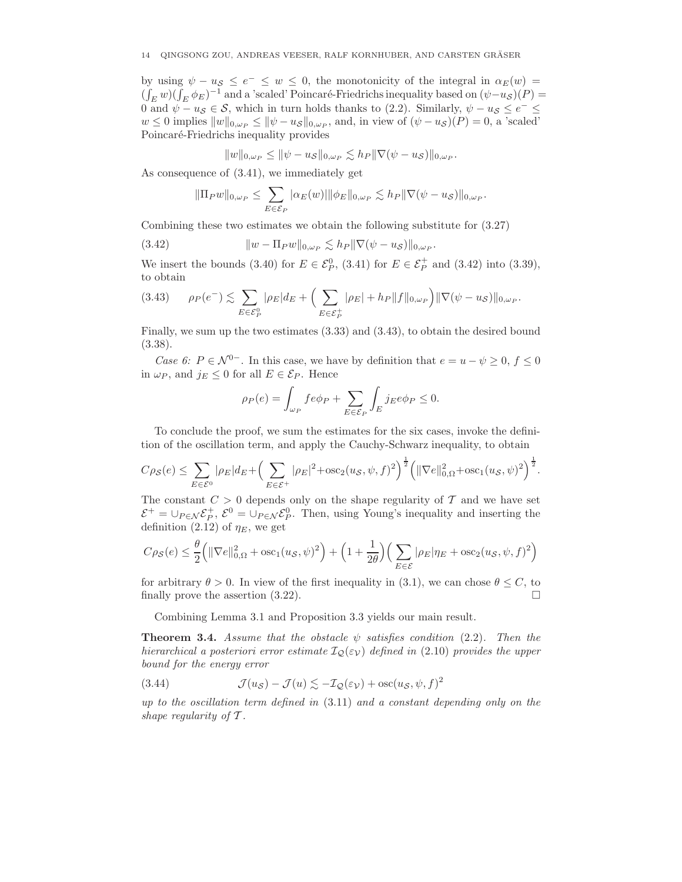### $14$  – QINGSONG ZOU, ANDREAS VEESER, RALF KORNHUBER, AND CARSTEN GRÄSER

by using  $\psi - u_s \le e^- \le w \le 0$ , the monotonicity of the integral in  $\alpha_E(w) =$  $(\int_E w)(\int_E \phi_E)^{-1}$  and a 'scaled' Poincaré-Friedrichs inequality based on  $(\psi - u_S)(P) =$ 0 and  $\psi - u_{\mathcal{S}} \in \mathcal{S}$ , which in turn holds thanks to (2.2). Similarly,  $\psi - u_{\mathcal{S}} \le e^- \le$  $w \leq 0$  implies  $||w||_{0,\omega_P} \leq ||\psi - u_{\mathcal{S}}||_{0,\omega_P}$ , and, in view of  $(\psi - u_{\mathcal{S}})(P) = 0$ , a 'scaled' Poincaré-Friedrichs inequality provides

$$
||w||_{0,\omega_P} \le ||\psi - u_{\mathcal{S}}||_{0,\omega_P} \lesssim h_P ||\nabla(\psi - u_{\mathcal{S}})||_{0,\omega_P}.
$$

As consequence of (3.41), we immediately get

$$
\|\Pi_P w\|_{0,\omega_P} \leq \sum_{E \in \mathcal{E}_P} |\alpha_E(w)| \|\phi_E\|_{0,\omega_P} \lesssim h_P \|\nabla(\psi - u_{\mathcal{S}})\|_{0,\omega_P}.
$$

Combining these two estimates we obtain the following substitute for (3.27)

(3.42) 
$$
||w - \Pi_P w||_{0,\omega_P} \lesssim h_P ||\nabla(\psi - u_{\mathcal{S}})||_{0,\omega_P}.
$$

We insert the bounds (3.40) for  $E \in \mathcal{E}_P^0$ , (3.41) for  $E \in \mathcal{E}_P^+$  and (3.42) into (3.39), to obtain

$$
(3.43) \qquad \rho_P(e^-) \lesssim \sum_{E \in \mathcal{E}_P^0} |\rho_E| d_E + \Big( \sum_{E \in \mathcal{E}_P^+} |\rho_E| + h_P \|f\|_{0,\omega_P} \Big) \|\nabla(\psi - u_S)\|_{0,\omega_P}.
$$

Finally, we sum up the two estimates (3.33) and (3.43), to obtain the desired bound (3.38).

*Case 6:*  $P \in \mathcal{N}^{0-}$ . In this case, we have by definition that  $e = u - \psi \geq 0, f \leq 0$ in  $\omega_P$ , and  $j_E \leq 0$  for all  $E \in \mathcal{E}_P$ . Hence

$$
\rho_P(e) = \int_{\omega_P} f e \phi_P + \sum_{E \in \mathcal{E}_P} \int_E j_E e \phi_P \le 0.
$$

To conclude the proof, we sum the estimates for the six cases, invoke the definition of the oscillation term, and apply the Cauchy-Schwarz inequality, to obtain

$$
C\rho_{\mathcal{S}}(e) \leq \sum_{E \in \mathcal{E}^0} |\rho_E| d_E + \left(\sum_{E \in \mathcal{E}^+} |\rho_E|^2 + \sec_2(u_{\mathcal{S}}, \psi, f)^2\right)^{\frac{1}{2}} \left(\|\nabla e\|_{0,\Omega}^2 + \csc_1(u_{\mathcal{S}}, \psi)^2\right)^{\frac{1}{2}}.
$$

The constant  $C > 0$  depends only on the shape regularity of T and we have set  $\mathcal{E}^+=\cup_{P\in\mathcal{N}}\mathcal{E}_P^+, \mathcal{E}^0=\cup_{P\in\mathcal{N}}\mathcal{E}_P^0.$  Then, using Young's inequality and inserting the definition (2.12) of  $\eta_E$ , we get

$$
C \rho_{\mathcal{S}}(e) \leq \frac{\theta}{2} \Big( \|\nabla e\|^2_{0,\Omega} + \mathrm{osc}_1(u_{\mathcal{S}},\psi)^2 \Big) + \Big( 1 + \frac{1}{2\theta} \Big) \Big( \sum_{E \in \mathcal{E}} |\rho_E| \eta_E + \mathrm{osc}_2(u_{\mathcal{S}},\psi,f)^2 \Big)
$$

for arbitrary  $\theta > 0$ . In view of the first inequality in (3.1), we can chose  $\theta \leq C$ , to finally prove the assertion  $(3.22)$ .

Combining Lemma 3.1 and Proposition 3.3 yields our main result.

**Theorem 3.4.** *Assume that the obstacle*  $\psi$  *satisfies condition* (2.2)*. Then the hierarchical a posteriori error estimate*  $\mathcal{I}_{\mathcal{Q}}(\varepsilon_{\mathcal{V}})$  *defined in* (2.10) *provides the upper bound for the energy error*

(3.44) 
$$
\mathcal{J}(u_{\mathcal{S}}) - \mathcal{J}(u) \lesssim -\mathcal{I}_{\mathcal{Q}}(\varepsilon_{\mathcal{V}}) + \mathrm{osc}(u_{\mathcal{S}}, \psi, f)^2
$$

*up to the oscillation term defined in* (3.11) *and a constant depending only on the shape regularity of* T *.*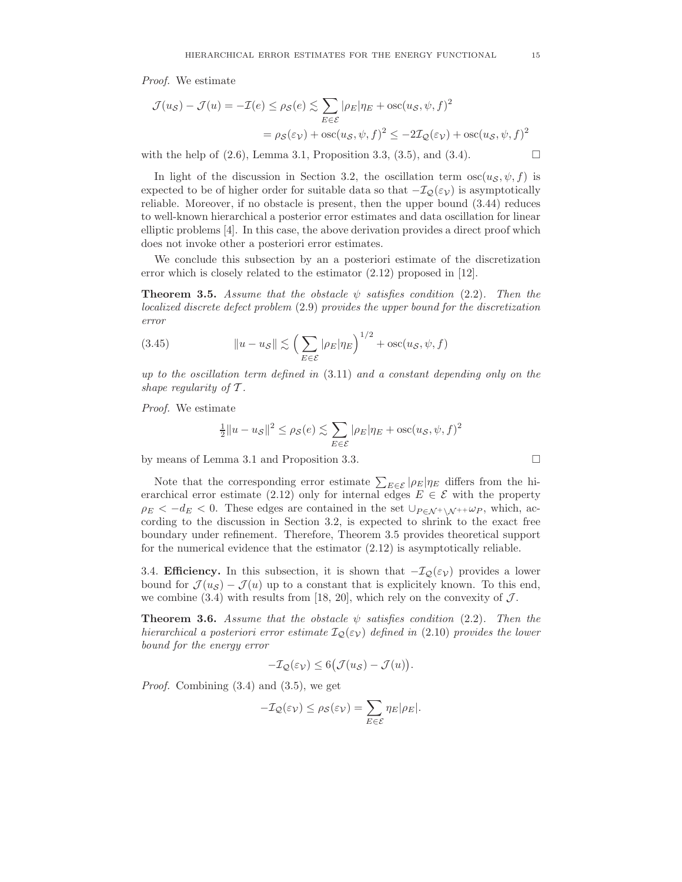*Proof.* We estimate

$$
\mathcal{J}(u_{\mathcal{S}}) - \mathcal{J}(u) = -\mathcal{I}(e) \le \rho_{\mathcal{S}}(e) \lesssim \sum_{E \in \mathcal{E}} |\rho_E| \eta_E + \operatorname{osc}(u_{\mathcal{S}}, \psi, f)^2
$$

$$
= \rho_{\mathcal{S}}(\varepsilon_{\mathcal{V}}) + \operatorname{osc}(u_{\mathcal{S}}, \psi, f)^2 \le -2\mathcal{I}_{\mathcal{Q}}(\varepsilon_{\mathcal{V}}) + \operatorname{osc}(u_{\mathcal{S}}, \psi, f)^2
$$

with the help of  $(2.6)$ , Lemma 3.1, Proposition 3.3,  $(3.5)$ , and  $(3.4)$ .

In light of the discussion in Section 3.2, the oscillation term  $\cos(u_s, \psi, f)$  is expected to be of higher order for suitable data so that  $-\mathcal{I}_{\mathcal{Q}}(\varepsilon_{\mathcal{V}})$  is asymptotically reliable. Moreover, if no obstacle is present, then the upper bound (3.44) reduces to well-known hierarchical a posterior error estimates and data oscillation for linear elliptic problems [4]. In this case, the above derivation provides a direct proof which does not invoke other a posteriori error estimates.

We conclude this subsection by an a posteriori estimate of the discretization error which is closely related to the estimator  $(2.12)$  proposed in [12].

**Theorem 3.5.** *Assume that the obstacle*  $\psi$  *satisfies condition* (2.2). Then the *localized discrete defect problem* (2.9) *provides the upper bound for the discretization error*

(3.45) 
$$
||u - u_{\mathcal{S}}|| \lesssim \left(\sum_{E \in \mathcal{E}} |\rho_E| \eta_E\right)^{1/2} + \csc(u_{\mathcal{S}}, \psi, f)
$$

*up to the oscillation term defined in* (3.11) *and a constant depending only on the shape regularity of* T *.*

*Proof.* We estimate

$$
\frac{1}{2}||u - u_{\mathcal{S}}||^{2} \leq \rho_{\mathcal{S}}(e) \lesssim \sum_{E \in \mathcal{E}} |\rho_{E}|\eta_{E} + \mathrm{osc}(u_{\mathcal{S}}, \psi, f)^{2}
$$

by means of Lemma 3.1 and Proposition 3.3.

Note that the corresponding error estimate  $\sum_{E \in \mathcal{E}} |\rho_E| \eta_E$  differs from the hierarchical error estimate (2.12) only for internal edges  $E \in \mathcal{E}$  with the property  $\rho_E < -d_E < 0$ . These edges are contained in the set  $\cup_{P \in \mathcal{N}^+ \setminus \mathcal{N}^+} \omega_P$ , which, according to the discussion in Section 3.2, is expected to shrink to the exact free boundary under refinement. Therefore, Theorem 3.5 provides theoretical support for the numerical evidence that the estimator (2.12) is asymptotically reliable.

3.4. **Efficiency.** In this subsection, it is shown that  $-\mathcal{I}_{\mathcal{Q}}(\varepsilon_{\mathcal{V}})$  provides a lower bound for  $\mathcal{J}(u_{\mathcal{S}}) - \mathcal{J}(u)$  up to a constant that is explicitely known. To this end, we combine (3.4) with results from [18, 20], which rely on the convexity of  $\mathcal{J}$ .

**Theorem 3.6.** *Assume that the obstacle*  $\psi$  *satisfies condition* (2.2)*. Then the hierarchical a posteriori error estimate*  $I_{\mathcal{Q}}(\varepsilon_{\mathcal{V}})$  *defined in* (2.10) *provides the lower bound for the energy error*

$$
-\mathcal{I}_{\mathcal{Q}}(\varepsilon_{\mathcal{V}}) \leq 6(\mathcal{J}(u_{\mathcal{S}}) - \mathcal{J}(u)).
$$

*Proof.* Combining (3.4) and (3.5), we get

$$
-\mathcal{I}_{\mathcal{Q}}(\varepsilon_{\mathcal{V}}) \leq \rho_{\mathcal{S}}(\varepsilon_{\mathcal{V}}) = \sum_{E \in \mathcal{E}} \eta_E |\rho_E|.
$$

$$
\Box
$$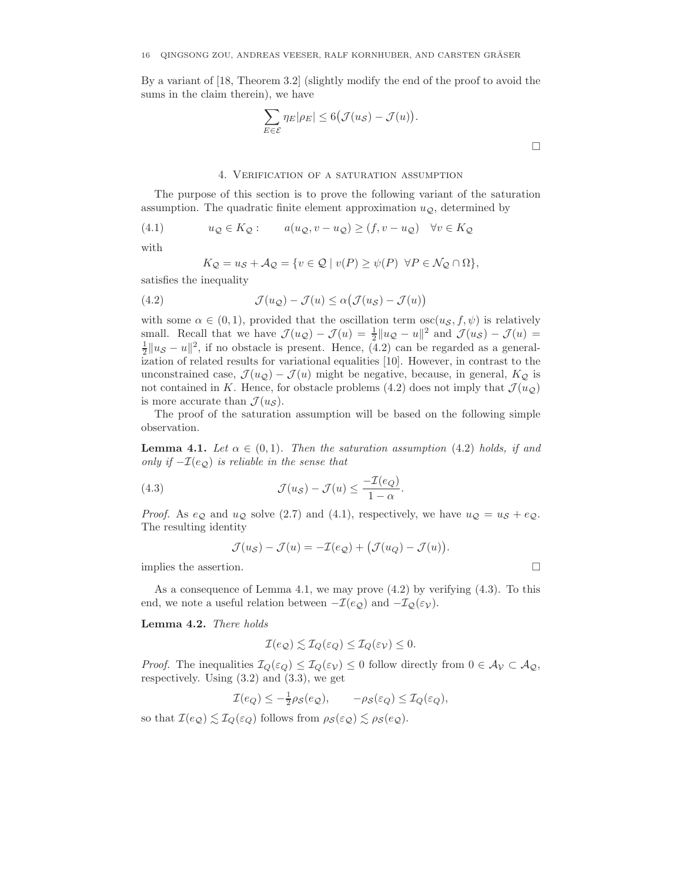By a variant of [18, Theorem 3.2] (slightly modify the end of the proof to avoid the sums in the claim therein), we have

$$
\sum_{E \in \mathcal{E}} \eta_E |\rho_E| \le 6 \big( \mathcal{J}(u_{\mathcal{S}}) - \mathcal{J}(u) \big).
$$

## 4. Verification of a saturation assumption

The purpose of this section is to prove the following variant of the saturation assumption. The quadratic finite element approximation  $u_{\mathcal{Q}}$ , determined by

(4.1) 
$$
u_{\mathcal{Q}} \in K_{\mathcal{Q}}: \qquad a(u_{\mathcal{Q}}, v - u_{\mathcal{Q}}) \ge (f, v - u_{\mathcal{Q}}) \quad \forall v \in K_{\mathcal{Q}}
$$

with

$$
K_{\mathcal{Q}} = u_{\mathcal{S}} + \mathcal{A}_{\mathcal{Q}} = \{ v \in \mathcal{Q} \mid v(P) \ge \psi(P) \ \forall P \in \mathcal{N}_{\mathcal{Q}} \cap \Omega \},
$$

satisfies the inequality

(4.2) 
$$
\mathcal{J}(u_{\mathcal{Q}}) - \mathcal{J}(u) \leq \alpha \big( \mathcal{J}(u_{\mathcal{S}}) - \mathcal{J}(u) \big)
$$

with some  $\alpha \in (0,1)$ , provided that the oscillation term  $\text{osc}(u_{\mathcal{S}},f,\psi)$  is relatively small. Recall that we have  $\mathcal{J}(u_{\mathcal{Q}}) - \mathcal{J}(u) = \frac{1}{2} ||u_{\mathcal{Q}} - u||^2$  and  $\mathcal{J}(u_{\mathcal{S}}) - \mathcal{J}(u) =$  $\frac{1}{2}||u_{\mathcal{S}} - u||^2$ , if no obstacle is present. Hence, (4.2) can be regarded as a generalization of related results for variational equalities [10]. However, in contrast to the unconstrained case,  $\mathcal{J}(u_{\mathcal{Q}}) - \mathcal{J}(u)$  might be negative, because, in general,  $K_{\mathcal{Q}}$  is not contained in K. Hence, for obstacle problems (4.2) does not imply that  $\mathcal{J}(u_{\mathcal{O}})$ is more accurate than  $\mathcal{J}(u_{\mathcal{S}})$ .

The proof of the saturation assumption will be based on the following simple observation.

**Lemma 4.1.** Let  $\alpha \in (0,1)$ . Then the saturation assumption (4.2) holds, if and *only if*  $-\mathcal{I}(e_{\mathcal{O}})$  *is reliable in the sense that* 

(4.3) 
$$
\mathcal{J}(u_{\mathcal{S}}) - \mathcal{J}(u) \leq \frac{-\mathcal{I}(e_Q)}{1 - \alpha}.
$$

*Proof.* As  $e_{\mathcal{Q}}$  and  $u_{\mathcal{Q}}$  solve (2.7) and (4.1), respectively, we have  $u_{\mathcal{Q}} = u_{\mathcal{S}} + e_{\mathcal{Q}}$ . The resulting identity

$$
\mathcal{J}(u_{\mathcal{S}}) - \mathcal{J}(u) = -\mathcal{I}(e_{\mathcal{Q}}) + (\mathcal{J}(u_{Q}) - \mathcal{J}(u)).
$$

implies the assertion.

As a consequence of Lemma 4.1, we may prove (4.2) by verifying (4.3). To this end, we note a useful relation between  $-\mathcal{I}(e_{\mathcal{Q}})$  and  $-\mathcal{I}_{\mathcal{Q}}(\varepsilon_{\mathcal{V}})$ .

**Lemma 4.2.** *There holds*

$$
\mathcal{I}(e_{\mathcal{Q}}) \lesssim \mathcal{I}_{Q}(\varepsilon_{Q}) \leq \mathcal{I}_{Q}(\varepsilon_{\mathcal{V}}) \leq 0.
$$

*Proof.* The inequalities  $\mathcal{I}_Q(\varepsilon_Q) \leq \mathcal{I}_Q(\varepsilon_{\mathcal{V}}) \leq 0$  follow directly from  $0 \in \mathcal{A}_{\mathcal{V}} \subset \mathcal{A}_{\mathcal{Q}}$ , respectively. Using  $(3.2)$  and  $(3.3)$ , we get

$$
\mathcal{I}(e_Q) \le -\frac{1}{2}\rho_{\mathcal{S}}(e_Q), \qquad -\rho_{\mathcal{S}}(\varepsilon_Q) \le \mathcal{I}_Q(\varepsilon_Q),
$$

so that  $\mathcal{I}(e_{\mathcal{Q}}) \lesssim \mathcal{I}_{Q}(\varepsilon_{Q})$  follows from  $\rho_{\mathcal{S}}(\varepsilon_{Q}) \lesssim \rho_{\mathcal{S}}(e_{\mathcal{Q}})$ .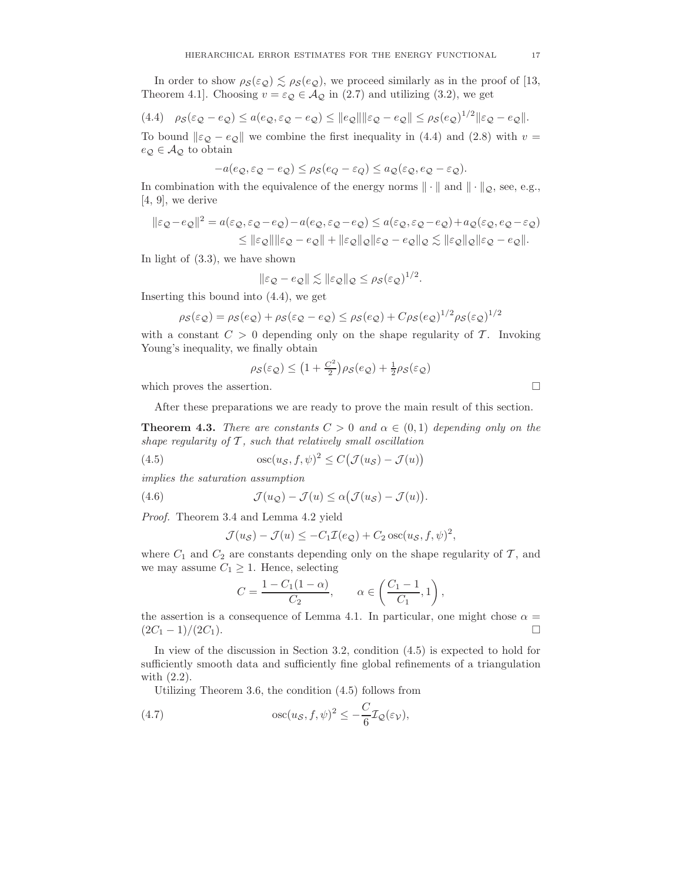In order to show  $\rho_{\mathcal{S}}(\varepsilon_{\mathcal{Q}}) \lesssim \rho_{\mathcal{S}}(e_{\mathcal{Q}})$ , we proceed similarly as in the proof of [13, Theorem 4.1]. Choosing  $v = \varepsilon_{\mathcal{Q}} \in \mathcal{A}_{\mathcal{Q}}$  in (2.7) and utilizing (3.2), we get

$$
(4.4) \quad \rho_{\mathcal{S}}(\varepsilon_{\mathcal{Q}} - e_{\mathcal{Q}}) \le a(e_{\mathcal{Q}}, \varepsilon_{\mathcal{Q}} - e_{\mathcal{Q}}) \le \|e_{\mathcal{Q}}\| \|\varepsilon_{\mathcal{Q}} - e_{\mathcal{Q}}\| \le \rho_{\mathcal{S}}(e_{\mathcal{Q}})^{1/2} \|\varepsilon_{\mathcal{Q}} - e_{\mathcal{Q}}\|.
$$

To bound  $\|\varepsilon_{\mathcal{Q}} - e_{\mathcal{Q}}\|$  we combine the first inequality in (4.4) and (2.8) with  $v =$  $e_{\mathcal{Q}} \in \mathcal{A}_{\mathcal{Q}}$  to obtain

$$
-a(e_{\mathcal{Q}}, \varepsilon_{\mathcal{Q}} - e_{\mathcal{Q}}) \le \rho_{\mathcal{S}}(e_{Q} - \varepsilon_{Q}) \le a_{\mathcal{Q}}(\varepsilon_{\mathcal{Q}}, e_{\mathcal{Q}} - \varepsilon_{\mathcal{Q}}).
$$

In combination with the equivalence of the energy norms  $\|\cdot\|$  and  $\|\cdot\|_{\mathcal{Q}}$ , see, e.g., [4, 9], we derive

$$
\begin{aligned} \|\varepsilon_{\mathcal{Q}} - e_{\mathcal{Q}}\|^2 &= a(\varepsilon_{\mathcal{Q}}, \varepsilon_{\mathcal{Q}} - e_{\mathcal{Q}}) - a(e_{\mathcal{Q}}, \varepsilon_{\mathcal{Q}} - e_{\mathcal{Q}}) \le a(\varepsilon_{\mathcal{Q}}, \varepsilon_{\mathcal{Q}} - e_{\mathcal{Q}}) + a_{\mathcal{Q}}(\varepsilon_{\mathcal{Q}}, e_{\mathcal{Q}} - \varepsilon_{\mathcal{Q}}) \\ &\le \| \varepsilon_{\mathcal{Q}}\| \| \varepsilon_{\mathcal{Q}} - e_{\mathcal{Q}} \| + \| \varepsilon_{\mathcal{Q}} \|_{\mathcal{Q}} \| \varepsilon_{\mathcal{Q}} - e_{\mathcal{Q}} \|_{\mathcal{Q}} \lesssim \| \varepsilon_{\mathcal{Q}} \|_{\mathcal{Q}} \| \varepsilon_{\mathcal{Q}} - e_{\mathcal{Q}} \| .\end{aligned}
$$

In light of (3.3), we have shown

$$
\|\varepsilon_{\mathcal{Q}} - e_{\mathcal{Q}}\| \lesssim \|\varepsilon_{\mathcal{Q}}\|_{\mathcal{Q}} \leq \rho_{\mathcal{S}}(\varepsilon_{\mathcal{Q}})^{1/2}.
$$

Inserting this bound into (4.4), we get

$$
\rho_{\mathcal{S}}(\varepsilon_{\mathcal{Q}}) = \rho_{\mathcal{S}}(e_{\mathcal{Q}}) + \rho_{\mathcal{S}}(\varepsilon_{\mathcal{Q}} - e_{\mathcal{Q}}) \le \rho_{\mathcal{S}}(e_{\mathcal{Q}}) + C\rho_{\mathcal{S}}(e_{\mathcal{Q}})^{1/2}\rho_{\mathcal{S}}(\varepsilon_{\mathcal{Q}})^{1/2}
$$

with a constant  $C > 0$  depending only on the shape regularity of T. Invoking Young's inequality, we finally obtain

$$
\rho_{\mathcal{S}}(\varepsilon_{\mathcal{Q}}) \le (1 + \frac{C^2}{2})\rho_{\mathcal{S}}(e_{\mathcal{Q}}) + \frac{1}{2}\rho_{\mathcal{S}}(\varepsilon_{\mathcal{Q}})
$$

which proves the assertion.  $\hfill \square$ 

After these preparations we are ready to prove the main result of this section.

**Theorem 4.3.** *There are constants*  $C > 0$  *and*  $\alpha \in (0, 1)$  *depending only on the shape regularity of* T *, such that relatively small oscillation*

(4.5) 
$$
\qquad \qquad \csc(u_{\mathcal{S}}, f, \psi)^2 \leq C \big( \mathcal{J}(u_{\mathcal{S}}) - \mathcal{J}(u) \big)
$$

*implies the saturation assumption*

(4.6) 
$$
\mathcal{J}(u_{\mathcal{Q}}) - \mathcal{J}(u) \leq \alpha \big( \mathcal{J}(u_{\mathcal{S}}) - \mathcal{J}(u) \big).
$$

*Proof.* Theorem 3.4 and Lemma 4.2 yield

$$
\mathcal{J}(u_{\mathcal{S}}) - \mathcal{J}(u) \le -C_1 \mathcal{I}(e_{\mathcal{Q}}) + C_2 \operatorname{osc}(u_{\mathcal{S}}, f, \psi)^2,
$$

where  $C_1$  and  $C_2$  are constants depending only on the shape regularity of  $\mathcal{T}$ , and we may assume  $C_1 \geq 1$ . Hence, selecting

$$
C = \frac{1 - C_1(1 - \alpha)}{C_2}, \qquad \alpha \in \left(\frac{C_1 - 1}{C_1}, 1\right),
$$

the assertion is a consequence of Lemma 4.1. In particular, one might chose  $\alpha =$  $(2C_1 - 1)/(2C_1).$ 

In view of the discussion in Section 3.2, condition (4.5) is expected to hold for sufficiently smooth data and sufficiently fine global refinements of a triangulation with (2.2).

Utilizing Theorem 3.6, the condition (4.5) follows from

(4.7) 
$$
\qquad \qquad \csc(u_{\mathcal{S}}, f, \psi)^2 \leq -\frac{C}{6} \mathcal{I}_{\mathcal{Q}}(\varepsilon_{\mathcal{V}}),
$$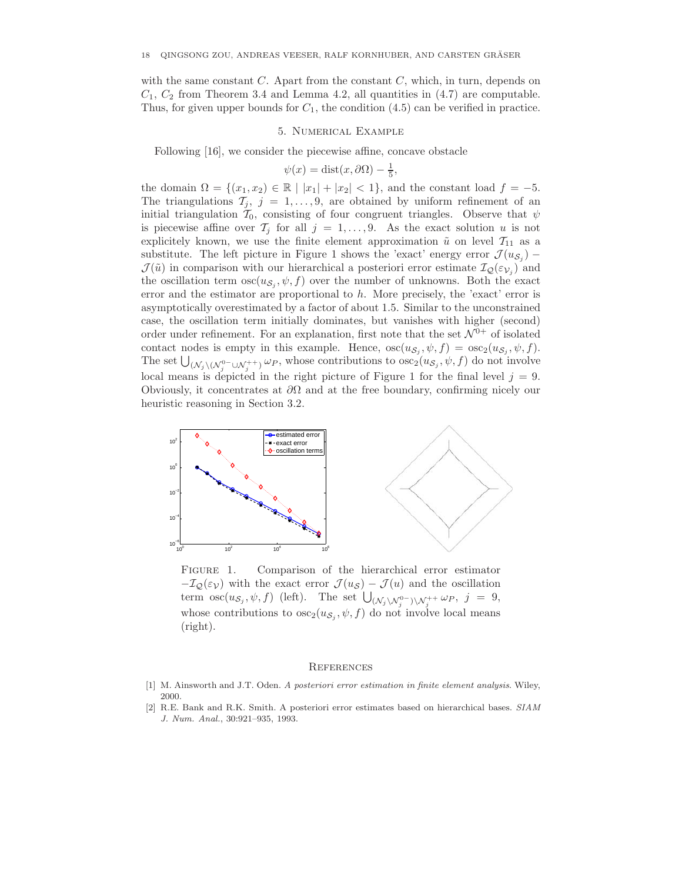with the same constant  $C$ . Apart from the constant  $C$ , which, in turn, depends on  $C_1, C_2$  from Theorem 3.4 and Lemma 4.2, all quantities in  $(4.7)$  are computable. Thus, for given upper bounds for  $C_1$ , the condition  $(4.5)$  can be verified in practice.

#### 5. Numerical Example

Following [16], we consider the piecewise affine, concave obstacle

$$
\psi(x) = \text{dist}(x, \partial \Omega) - \frac{1}{5},
$$

the domain  $\Omega = \{(x_1, x_2) \in \mathbb{R} \mid |x_1| + |x_2| < 1\}$ , and the constant load  $f = -5$ . The triangulations  $\mathcal{T}_j$ ,  $j = 1, \ldots, 9$ , are obtained by uniform refinement of an initial triangulation  $\mathcal{T}_0$ , consisting of four congruent triangles. Observe that  $\psi$ is piecewise affine over  $\mathcal{T}_i$  for all  $j = 1, \ldots, 9$ . As the exact solution u is not explicitely known, we use the finite element approximation  $\tilde{u}$  on level  $\mathcal{T}_{11}$  as a substitute. The left picture in Figure 1 shows the 'exact' energy error  $\mathcal{J}(u_{\mathcal{S}_i})$  –  $\mathcal{J}(\tilde{u})$  in comparison with our hierarchical a posteriori error estimate  $\mathcal{I}_{\mathcal{Q}}(\varepsilon_{\mathcal{V}_i})$  and the oscillation term  $\csc(u_{\mathcal{S}_i}, \psi, f)$  over the number of unknowns. Both the exact error and the estimator are proportional to  $h$ . More precisely, the 'exact' error is asymptotically overestimated by a factor of about 1.5. Similar to the unconstrained case, the oscillation term initially dominates, but vanishes with higher (second) order under refinement. For an explanation, first note that the set  $\mathcal{N}^{0+}$  of isolated contact nodes is empty in this example. Hence,  $\csc(u_{\mathcal{S}_j}, \psi, f) = \csc_2(u_{\mathcal{S}_j}, \psi, f)$ . The set  $\bigcup_{(N_j \setminus (N_j^0 \subset \cup N_j^+) \cup P} \omega_P$ , whose contributions to  $\csc_2(u_{S_j}, \psi, f)$  do not involve local means is depicted in the right picture of Figure 1 for the final level  $j = 9$ . Obviously, it concentrates at  $\partial\Omega$  and at the free boundary, confirming nicely our heuristic reasoning in Section 3.2.



FIGURE 1. Comparison of the hierarchical error estimator  $-\mathcal{I}_{\mathcal{Q}}(\varepsilon_{\mathcal{V}})$  with the exact error  $\mathcal{J}(u_{\mathcal{S}}) - \mathcal{J}(u)$  and the oscillation term  $\operatorname{osc}(u_{\mathcal{S}_j}, \psi, f)$  (left). The set  $\bigcup_{(\mathcal{N}_j \setminus \mathcal{N}_j^0 -) \setminus \mathcal{N}_j^+} \omega_P, \ j = 9$ , whose contributions to  $\csc_2(u_{\mathcal{S}_i}, \psi, f)$  do not involve local means (right).

#### **REFERENCES**

- [1] M. Ainsworth and J.T. Oden. *A posteriori error estimation in finite element analysis*. Wiley, 2000.
- [2] R.E. Bank and R.K. Smith. A posteriori error estimates based on hierarchical bases. *SIAM J. Num. Anal.*, 30:921–935, 1993.